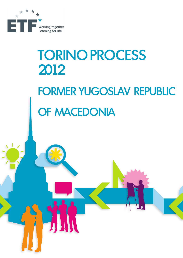

# TORINO PROCESS 2012 FORMER YUGOSLAV REPUBLIC OF MACEDONIA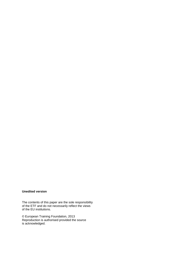## **Unedited version**

The contents of this paper are the sole responsibility of the ETF and do not necessarily reflect the views of the EU institutions.

© European Training Foundation, 2013 Reproduction is authorised provided the source is acknowledged.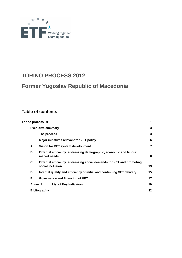

# **TORINO PROCESS 2012**

# **Former Yugoslav Republic of Macedonia**

# **Table of contents**

|          | <b>Torino process 2012</b>                                                               | 1  |
|----------|------------------------------------------------------------------------------------------|----|
|          | <b>Executive summary</b>                                                                 | 3  |
|          | The process                                                                              | 3  |
|          | Major initiatives relevant for VET policy                                                | 6  |
| А.       | Vision for VET system development                                                        | 7  |
| В.       | External efficiency: addressing demographic, economic and labour<br>market needs         | 8  |
| C.       | External efficiency: addressing social demands for VET and promoting<br>social inclusion | 13 |
| D.       | Internal quality and efficiency of initial and continuing VET delivery                   | 15 |
| Е.       | Governance and financing of VET                                                          | 17 |
| Annex 1: | <b>List of Key Indicators</b>                                                            | 19 |
|          | <b>Bibliography</b>                                                                      | 32 |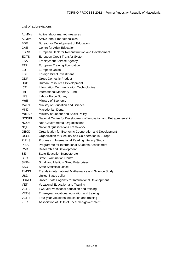# List of abbreviations

| <b>ALMMs</b>  | Active labour market measures                                      |
|---------------|--------------------------------------------------------------------|
| <b>ALMPs</b>  | Active labour market policies                                      |
| <b>BDE</b>    | Bureau for Development of Education                                |
| <b>CAE</b>    | Centre for Adult Education                                         |
| EBRD          | European Bank for Reconstruction and Development                   |
| <b>ECTS</b>   | European Credit Transfer System                                    |
| <b>ESA</b>    | <b>Employment Service Agency</b>                                   |
| ETF           | <b>European Training Foundation</b>                                |
| EU            | European Union                                                     |
| <b>FDI</b>    | Foreign Direct Investment                                          |
| <b>GDP</b>    | <b>Gross Domestic Product</b>                                      |
| HRD           | Human Resources Development                                        |
| <b>ICT</b>    | <b>Information Communication Technologies</b>                      |
| IMF           | <b>International Monetary Fund</b>                                 |
| <b>LFS</b>    | Labour Force Survey                                                |
| MoE           | Ministry of Economy                                                |
| MoES          | Ministry of Education and Science                                  |
| <b>MKD</b>    | Macedonian Denar                                                   |
| <b>MoLSP</b>  | Ministry of Labour and Social Policy                               |
| <b>NCDIEL</b> | National Centre for Development of Innovation and Entrepreneurship |
| <b>NGOs</b>   | Non-Governmental Organisations                                     |
| <b>NQF</b>    | <b>National Qualifications Framework</b>                           |
| <b>OECD</b>   | Organisation for Economic Cooperation and Development              |
| <b>OSCE</b>   | Organization for Security and Co-operation in Europe               |
| <b>PIRLS</b>  | Progress in International Reading Literacy Study                   |
| <b>PISA</b>   | Programme for International Students Assessment                    |
| R&D           | Research and Development                                           |
| SEI           | <b>State Education Inspectorate</b>                                |
| <b>SEC</b>    | <b>State Examination Centre</b>                                    |
| SMEs          | <b>Small and Medium Sized Enterprises</b>                          |
| SSO           | <b>State Statistical Office</b>                                    |
| <b>TIMSS</b>  | Trends in International Mathematics and Science Study              |
| <b>USD</b>    | <b>United States dollar</b>                                        |
| <b>USAID</b>  | United States Agency for International Development                 |
| VET           | Vocational Education and Training                                  |
| VET-2         | Two-year vocational education and training                         |
| VET-3         | Three-year vocational education and training                       |
| VET-4         | Four-year vocational education and training                        |
| <b>ZELS</b>   | Association of Units of Local Self-government                      |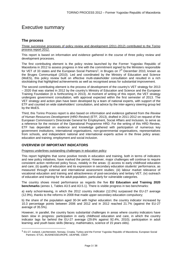# Executive summary

# **The process**

l

Three successive processes of policy review and development (2011-2012) contributed to the Torino process report 2012.

This report is based on information and evidence gathered in the course of three policy review and development processes.

The first contributing element is the policy review launched by the Former Yugoslav Republic of Macedonia in 2012 to assess progress in line with the commitment signed by the Ministers responsible for VET of 33 states and the European Social Partners<sup>1</sup>, in Bruges on  $7<sup>th</sup>$  December 2010, known as the Bruges Communiqué (2010). Led and coordinated by the Ministry of Education and Science (MoES), this policy review built on effective multi-stakeholder consultation and resulted in a rich stocktaking that highlighted achievements as well as recognised areas for substantial improvement.

The second contributing element is the process of development of the country's VET strategy for 2013 – 2020 that was started in 2012 by the country's Ministry of Education and Science and the European Training Foundation (it is forthcoming in 2013). At moment of writing of this report, the VET strategy undergoes government consultation, with approval expected within the first semester of 2013. The VET strategy and action plan have been developed by a team of national experts, with support of the ETF and counted on wide stakeholders' consultation, and advice by the inter-agency steering group led by the MoES.

Third, this Torino Process report is also based on information and evidence gathered from the Review of Human Resources Development (HRD Review) (ETF, 2013), drafted in 2011-2012 on request of the European Commission's Directorate General for Employment, Social Affairs and Inclusion, to serve as a reference for the revision of the Operational Programme HRD. For the writing of this HRD Review, ETF has depended on evidence and knowledge gathered with participation of numerous key government institutions, international organisations, non-governmental organisations, representatives from schools, and independent national and international experts active in the three policy areas: education and training; employment and social inclusion.

## **OVERVIEW OF IMPORTANT INDICATORS**

Progress underlines outstanding challenges in education policy

This report highlights that some positive trends in education and training, both in terms of indicators and new policy initiatives, have marked the period. However, major challenges will continue to require consistent action reinforced policy focus, notably in the areas: (i) access to early childhood education and care; (ii) quality of education and its expression in secondary education students' performance, as measured through external and international assessment studies; (iii) labour market relevance of vocational education and training and attractiveness of post-secondary and tertiary VET; (iv) outreach of education and training for the adult population, particularly for vulnerable categories.

The country shows mixed performance as regards the five **EU Education and Training 2020 benchmarks** (annex 1, Tables A3.5 and A3.5.1). There is visible progress in two benchmarks:

a) early school-leaving, in which the 2012 country indicator (12.0%) surpassed the EU-27 average (12.9%), thanks to the reforms in 2008 that made upper-secondary education compulsory;

b) the share of the population aged 30-34 with higher education: the country indicator increased by 10.3 percentage points between 2006 and 2012 and in 2012 reached 21.7% (against the EU-27 average of 35.5%).

However, in parallel, the country faces substantial challenges in areas where country indicators have been slow in progress: participation in early childhood education and care, in which the country indicator lags far behind the EU-27 average (29.6% against 92.4%, 2010); participation in adult learning; and youth basic skills (literacy, mathematics, science of 15 years olds).

<sup>1</sup> EU-27, Iceland, Liechtenstein, Norway, Croatia, Turkey and the Former Yugoslav Republic of Macedonia; European Social Partners: ETUC, BUSINESSEUROPE, UEAPME, CEEP.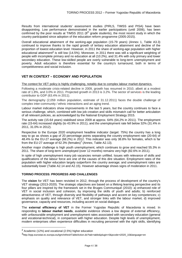Results from international students' assessment studies (PIRLS, TIMSS and PISA) have been disappointing. Low performance demonstrated in the earlier participations (until 2006), has been confirmed by the poor results at TIMSS 2011 ( $8<sup>th</sup>$  grade students), the most recent study in which the country participated since adoption of the education reform programme (2005-2015).

Overall educational attainment of the working-age population (15-79 years) (Annex 1, Table A3.3) continued to improve thanks to the rapid growth of tertiary education attainment and decline of the proportion of lowest education level. However, in 2011 the share of working-age population with higher educational attainment<sup>2</sup> is still low (14.5%). Moreover, in 2011 there was still a significant weighting of people with incomplete primary and no education at all (10.2%), and 31.4% with only primary and lower secondary education. These low-skilled people are overly vulnerable to long-term unemployment and poverty. Adult education is therefore essential for the country's turnaround, both in terms of competitiveness and social inclusion.

# **VET IN CONTEXT – ECONOMY AND POPULATION**

The context for VET policy is highly challenging, notably due to complex labour market dynamics.

Following a moderate crisis-related decline in 2009, growth has resumed in 2010, albeit at a modest rate of 1.8%, and 3.0% in 2011. Projected growth in 2013 is 3.2%. The sector of services is the leading contributor to GDP (63.4% in 2011).

The demography (2,059 million population, estimate of 31.12.2011) faces the double challenge of complex inter-community / ethnic interactions and an aging trend.

Labour market indicators show improvements in the last 5 years, but the country continues to face a serious challenge, which, combined with low job creation and skills mismatch call for better articulation of all relevant policies, as acknowledged by the National Employment Strategy 2015.

The activity rate (15-64 years) stabilised since 2009 at approx. 64% (64,2% in 2011). The employment rate (15-64) increased slightly (to 43.9% in 2011), and the unemployment rate fell below 32% (31.4% in 2011, 31.0% in 2012).

Respective to the Europe 2020 employment headline indicator (target: 75%) the country has a long way to go as shows a gap of 20 percentage points separating the country employment rate (20-64) of 48.4% to the EU-27 average (68.2%) in 2012. This indicator was only 38.8% for females, which is far from the EU-27 average of 62.3% (females) $3$  (Annex, Table A2.13).

Another major challenge is high youth unemployment, which continues to grow and reached 55.3% in 2011. The share of long-term unemployed (over 12 months) remains very high (82.6% in 2011).

In spite of high unemployment many job vacancies remain unfilled. Issues with relevance of skills and qualifications of the labour force are one of the causes of this dire situation. Employment rates of the population with higher education largely outperform the country average; and unemployment rates are substantially lower (Table A2.14 and A2.15). However advantage shows signs of moderation in 2011.

#### **TORINO PROCESS: PROGRESS AND CHALLENGES**

The **vision** for VET has been revisited in 2012, through the process of development of the country's VET strategy (2013-2020). The strategic objectives are based on a lifelong learning perspective and its four pillars are inspired by the framework set in the Bruges Communiqué (2010): a) enhanced role of VET in social inclusion and cohesion, by improving the skills of youth and adults; b) reinforced attractiveness of VET, through diversity and flexibility of pathways and accent on key competences; c) emphasis on quality and relevance of VET, and stronger links with the labour market; d) improved governance, capacity and resources, including accent on social dialogue.

The **external efficiency of VET** in the Former Yugoslav Republic of Macedonia is mixed. In responding to **labour market needs**, available evidence shows a low degree of external efficiency, with unfavourable employment and unemployment rates associated with secondary education (general and vocational-technical), in comparison with higher education. Despite high levels of unemployment, modern enterprises often experience difficulties in recruiting personnel with the right skills, identifying

l

<sup>2</sup> Academic (12%) and vocational (2.5%) higher education

<sup>3</sup>http://epp.eurostat.ec.europa.eu/tgm/refreshTableAction.do?tab=table&plugin=0&pcode=t2020\_10&language=en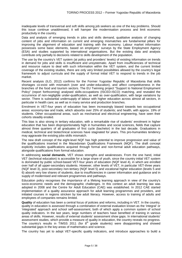inadequate levels of transversal and soft skills among job seekers as one of the key problems. Should this issue continue unaddressed, it will hamper the modernisation process and limit economic productivity in the country.

Data and analysis of emerging trends in jobs and skills demand, qualitative analysis of changing content of jobs and information on current and emerging mismatches are fundamental pillars for improving the alignment of education and training with the economy. Labour market information possesses some basic elements, based on employers' surveys by the State Employment Agency (ESA) and studies supported by international organisations. But the existing data and analysis contribute only partially to decisions related to skills development of the population.

The use by the country's VET system (at policy and providers' levels) of existing information on trends in demand for jobs and skills is insufficient and unsystematic. Apart from insufficiencies of technical and resource nature to deal with such information within the VET system, and the current limited coverage of the existing studies, there are only very limited possibilities allowed by the country's legal framework to adjust curricula and the supply of formal initial VET to respond to trends in the job market.

Recent analysis (ILO, 2012) confirms for the Former Yugoslav Republic of Macedonia that skills shortages co-exist with mismatch (over and under-education), and affect competitiveness in the branches of the food and tourism sectors. The EU Twinning project "Support to National Employment Policy" (report forthcoming) analysed skills-occupations (ISCED-ISCO) matching, and revealed the occurrence of non-negligible under-qualification, as well as over-qualification, with large variations by sector. There is substantial undersupply of labour with higher education across almost all sectors, in particular in health care; as well as in many service and production branches.

Enrolment in VET-four years of education has been increasingly biased towards two occupational areas: economy-law and trade, which absorbs over 25% of students; and health, with approx. 19% of students. Other occupational areas, such as mechanical and electrical engineering, have seen their cohorts steadily eroded.

This bias is also strong in tertiary education, with a remarkable rise of students' enrolment in higher education that has been disproportionately high in humanities and social sciences, fields that capture almost three quarters of all graduates of first cycle (bachelor) in the last decade. Graduations in medical, technical and biotechnical sciences have stagnated for years. This pro-humanities tendency may aggravate the existing jobs-skills mismatch.

The new draft concept of the eight-level NQF has high potential to improve progression and value of the qualifications inserted in the Macedonian Qualifications Framework (MQF). The draft concept explicitly includes qualifications acquired through formal and non-formal adult education pathways, alongside qualifications from formal education.

In addressing **social demands**, VET shows strengths and weaknesses. From the one hand, initial VET (technical education) is accessible for a large share of youth, since the country initial VET system is dominated by public school-based VET-four years of education (NQF level 4), in which are enrolled over half of all upper-secondary students. However, other levels of VET, in particular VET-three years (NQF level 3), post-secondary non-tertiary (NQF level 5) and vocational higher education (levels 5 and 6) absorb very low shares of students, due to insufficiencies in career information and guidance and in supply of modernised and relevant programmes and pathways.

Education policy recognises the importance of a lifelong learning approach in view of the country's socio-economic needs and the demographic challenges. In this context an adult learning law was adopted in 2008 and the Centre for Adult Education (CAE) was established. In 2012 CAE started implementation of a quality assurance approach for adult learning programmes and providers, and initiated courses in regions stricken by low adult literacy. However, access to training of adults and employees of companies remains limited.

**Quality** of education has been a central focus of policies and reforms, including in VET. In the country, quality in education is assessed through a combination of external evaluation known as the 'integral' or 'integrated' approach and school self-assessment, both of which apply a common system of school quality indicators. In the last years, large numbers of teachers have benefited of training in various areas of skills. However, results of external students' assessment show gaps. In international students' assessment studies, which provide a measure of quality in education, the country reveals no progress. The country's results in TIMSS 2011 (for 8<sup>th</sup> grade students) were disappointing and showed substantial gaps in the key areas of mathematics and science.

The country has yet to adopt VET-specific quality indicators, and introduce approaches to build a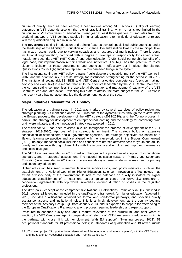culture of quality, such as peer learning / peer reviews among VET schools. Quality of learning outcomes in VET depends also on the role of practical training, which remains too limited in the curriculum of VET-four years of education. Every year at least three quarters of graduates from this predominant type of VET continue studies in higher education, often in fields of education unrelated with the qualification acquired in initial VET.

The **governance** setting in education and training features several specialised public agencies, under the leadership of the Ministry of Education and Science. Decentralisation towards the municipal level has mixed results, partly due to varying capacities and resources of municipalities. There is some institutional fragmentation, combined with a degree of overlaps in responsibility for certain areas, notably, for secondary VET (VET Centre) and adult education (CAE). Social partnership benefits of a legal base, but implementation remains weak and ineffective. The NQF has the potential to foster closer articulation of these departments and agencies. If effectively put in place, the planned Qualifications Council (Agency) can represent a much-needed bridge in the system.

The institutional setting for VET policy remains fragile despite the establishment of the VET Centre in 2007, and the adoption in 2010 of its strategy for institutional strengthening for the period 2010-2015. The institutional setting (MoES, BDE and VET Centre) allocates competences (decision making, advisory and executive) in a manner that limits the effective leadership by the VET Centre. Moreover, the current setting compromises the operational (budgetary and management) capacity of the VET Centre to lead and take action. Reflecting this state of affairs, the state budget for the VET Centre in the recent years has not accompanied the development needs of the sector.

# **Major initiatives relevant for VET policy**

l

The education and training sector in 2012 was marked by several exercises of policy review and strategic planning. As mentioned above, VET was one of the dynamic fields, through the review under the Bruges process, the development of the VET strategy (2013-2020), and the Torino process. In parallel, the strategy for development of entrepreneurial learning and the strategy for combating brain drain were initiated, and the Innovation Strategy was adopted in 2012.

The vision for VET has been revisited in 2012, throughout the process of development of the VET strategy (2013-2020). Approval of the strategy is imminent. The strategy builds on extensive consultation of stakeholders and all government agencies. The strategic objectives are based on a lifelong learning perspective and are aligned with the framework set in the Bruges Communiqué (2010), notably: impact on social inclusion and cohesion; reinforced attractiveness for youth and adults; quality and relevance through closer links with the economy and employment; improved governance and social dialogue.

The VET Law was amended in 2013 to reflect changes in the procedure of adoption of occupational standards, and in students' assessment. The national legislation (Laws on Primary and Secondary Education) was amended in 2012 to incorporate mandatory external students' assessment for primary and secondary education.

Higher education has seen numerous legislative modifications, and policy initiatives, such as the establishment of a National Council for Higher Education, Science, Innovation and Technology – as expert advisory body of the Government; launch of the database on quality indicators for higher education; establishment of at least one career guidance centre per university; signature of cooperation agreements with top world universities; defined duration of studies in the regulated professions.

The draft policy concept of the comprehensive National Qualifications Framework (NQF), finalised in 2013, covers all levels not included in the qualifications framework for higher education (adopted in 2010), includes qualifications obtained via formal and non-formal pathways, and specifies quality assurance aspects and institutional roles. This is a timely development, as the country became member of the Advisory Group EQF from January 2013, and is expected to prepare for referencing to the European Qualifications Framework, a long process requiring leadership and expert support.

Pressured to enhance quality and labour market relevance of the curriculum, and after years of inaction, the VET Centre engaged in preparation of reforms of VET-three years of education, which is the pathway with closer link with employment. With EU support<sup>4</sup> (Twinning project, 2012), 51 occupational standards for 13 professional fields; 25 standards of qualification and 13 new curricula

<sup>4</sup> EU Twinning project "Support to the modernisation of the education and training system", with the VET Centre and the Slovenian Vocational Education and Training Centre (CPI).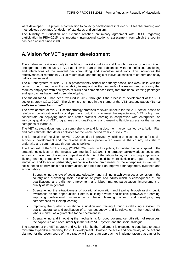were developed. The project's contribution to capacity development included VET teacher training and methodology packages for design of standards and curriculum.

The Ministry of Education and Science reached preliminary agreement with OECD regarding participation in PISA-2015, the important international students' assessment from which the country has been absent since 2000.

# **A. Vision for VET system development**

The challenges reside not only in the labour market conditions and low job creation, or in insufficient engagement of the industry in VET at all levels. Part of the problem lies with the inefficient functioning and interactions of the relevant decision-making and executive institutions. This influences the effectiveness of reforms in VET at macro level, and the logic of individual choices of careers and study paths at micro level.

The current system of initial VET is predominantly school and theory-based, has weak links with the context of work and lacks the capability to respond to the demands of a restructured economy that requires employees with new types of skills and competences (soft) that traditional learning packages and approaches have hardly been developing.

The **vision** for VET has been revisited in 2012, throughout the process of development of the VET sector strategy (2013-2020). The vision is enshrined in the theme of the VET strategy paper: **"Better skills for a better tomorrow".**

The development of this VET sector strategy promises renewed impetus for the VET sector, based on reinforced collaboration with social partners, but, if it is to meet the expectations, VET policy must concentrate on deploying more and better practical learning in cooperation with enterprises, on improving quality of VET programmes and qualifications and ensuring flexible access for the various categories of learners.

The VET strategy document is a comprehensive and long document, accompanied by a Action Plan and cost estimate, that details activities for the whole period from 2013 to 2020.

The formulation of the vision for VET 2020 could be improved by building on clear scenarios for socioeconomic development and the related skills anticipation – an exercise the country has still to undertake and communicate throughout its policies.

The final draft of the VET strategy (2013-2020) builds on four pillars, formulated below, inspired in the strategic objectives of the Bruges Communiqué (2010). The strategy acknowledges social and economic challenges of a more competitive skills mix of the labour force, with a strong emphasis on lifelong learning perspective. The future VET system should be more flexible and open to learning innovation and to social partnership, responsive to economic needs of the enterprises as well as to social needs of individuals and communities, and be based on improved management, evidence and accountability.

- Strengthening the role of vocational education and training in achieving social cohesion in the country and preventing social exclusion of youth and adults which is consequence of low qualifications and skills for employment and labour market participation; improvement of quality of life in general,
- Strengthening the attractiveness of vocational education and training through raising public awareness on the opportunities it offers, building diverse and flexible pathways for learning, improving professional guidance in a lifelong learning context, and developing key competences for lifelong learning,
- Improving the quality of vocational education and training through establishing a system for quality assurance and application of a new pedagogy, and its relevance to the needs of the labour market, as a guarantee for competitiveness,
- Strengthening and innovating the mechanisms for good governance, utilisation of resources, the capacities and accountability in the future VET system and the social dialogue.

The adoption of the VET strategy and Action Plan by the Parliament is expected to contribute to better mid-term expenditure planning for VET development. However the scale and complexity of the actions planned for the seven years of the strategy will require an approach to implementation that cannot be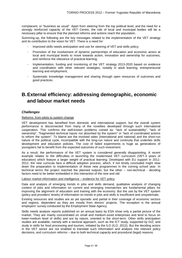complacent, or "business as usual". Apart from steering from the top political level, and the need for a strongly reinforced capacity of the VET Centre, the role of local and municipal bodies will be a necessary pillar to ensure that the planned reforms and actions reach the population.

Summing-up, the following are the key messages related to the implementation of the VET strategy and its contribution to the vision for VET. There is a need for:

- Improved skills needs anticipation and use for steering of VET and skills policy;
- Promotion of the involvement of dynamic partnerships of education and economic actors at local and municipal levels to move towards action, innovation and ownership for outcomes, and reinforce the relevance of practical learning;
- Implementation, funding and monitoring of the VET strategy 2013-2020 based on evidence and coordination with other relevant strategies, notably in adult learning, entrepreneurial learning and employment;
- Systematic knowledge management and sharing through open resources of outcomes and good practices.

# **B. External efficiency: addressing demographic, economic and labour market needs**

## **Challenges**

#### Reforms: from pilots to system change

VET development has benefited from domestic and international support, but the overall system performance is disconnected from many of the novelties developed through such international cooperation. This confirms the well-known problems coined as: "lack of sustainability", "lack of ownership", "fragmented technical inputs not absorbed by the system" or "lack of coordinated actions to reform the system". To blame are the involved sides (international and national) and the short-run nature of the political cycle, incompatible with the long-run nature and continuity that underlies skills development and education policies. The cost of failed experiments is huge as generations of youngsters fail to benefit from the expected outcomes of such investment.

As a result, the performance of the VET system is considered generally disappointing. A recent example relates to the difficulties in launching the modernised VET curriculum (VET-3 years of education) which feature a larger weight of practical learning. Developed with EU support in 2011- 2012, the new curricula face a difficult adoption process, which, if not timely concluded might slow down the preparation to implementation of these new programmes in the coming school year. In technical terms the project reached the planned outputs; but the other – non-technical - deciding factors need to be better embedded in this interaction of the new and old.

#### Labour market information and intelligence – evidence for VET policy

Data and analysis of emerging trends in jobs and skills demand, qualitative analysis of changing content of jobs and information on current and emerging mismatches are fundamental pillars for improving the alignment of education and training with the economy. But the use by the VET system (policy and providers' levels) of information on trends in jobs and skills is insufficient and unsystematic.

Existing resources and studies are as yet sporadic and partial in their coverage of economic sectors and regions, dependent as they are mostly from donors' projects. The exception is the annual employers' survey conducted by the Employment State Agency.

Skills needs analysis reports published on an annual basis by ESA show only a partial picture of the market. They are mainly concentrated on small and medium-sized enterprises and tend to focus on lower-medium level of skills) and are by nature, oriented to the short-term. Other skills anticipation studies are available, namely with a sectoral approach, such as the ICT study, supported by GIZ; and study in skills for food processing and tourism, initiated by the ILO (ILO, 2012). But the deciding actors in the VET sector are not enabled to translate such information and analysis into relevant policy decisions, and curriculum reforms – due to both technical capacity and procedural (legal) reasons.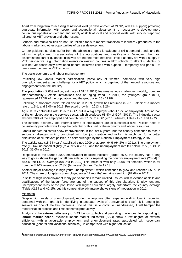Apart from long-term forecasting at national level (in development at MLSP, with EU support) providing aggregate information with sector and occupational relevance, it is necessary to develop more continuous updates on demand and supply of skills at local and regional levels, with succinct reporting tailored for VET provision and other users.

Schools and municipalities do not use reliable tools to monitor transition of learners / graduates to the labour market and other opportunities of career development.

Career guidance services suffer from the absence of good knowledge of skills demand trends and the intrinsic employment / career value of the occupations and qualifications. Moreover, the most disseminated career guidance initiatives are not the most effective, limited as they are with a supply of VET perspective (e.g. information events on existing courses in VET schools to attract students), or with not yet consistently developed donors initiatives linked with support – temporary and partial - to new career centres in VET schools.

#### The socio-economic and labour market context

Persisting low labour market participation, particularly of women, combined with very high unemployment set a vast challenge for a VET policy, which is deprived of the needed resources and engagement from the industry.

The **population** (2,059 million, estimate of 31.12.2011) features various challenges, notably, complex inter-community / ethnic interactions and an aging trend. In 2011, the youngest group (0-14) represented 17.3% of the population, and the group over 65 - 11.8%.

Following a moderate crisis-related decline in 2009, growth has resumed in 2010, albeit at a modest rate of 1.8%, and 3.0% in 2011. Projected growth in 2013 is 3.2%.

Agriculture contributes with 11% to GDP, but is a big employer (about 19% of employed). Around half of the employed are in the services sector, which produces 63.4% of GDP (2011). The industrial sector absorbs 30% of the employed and contributes 27.5% to GDP (2011). (Annex, Tables A2.1 and A2.2).

The informal economy and informal forms of employment are of substantial size. Policies need to consistently promote ways to tap the potential of this part of the economy and labour resources.

Labour market indicators show improvements in the last 5 years, but the country continues to face a serious challenges, which, combined with low job creation and skills mismatch call for a better articulation of all relevant policies, as acknowledged by the National Employment Strategy 2015.

The activity rate (15-64 years) stabilised since 2009 at approx. 64% (64,2% in 2011). The employment rate (15-64) increased slightly (to 43.9% in 2011), and the unemployment rate fell below 32% (31.4% in 2011, 31.0% in 2012).

Respective to the Europe 2020 employment headline indicator (target: 75%) the country has a long way to go as shows the gap of 20 percentage points separating the country employment rate (20-64) of 48.4% the EU-27 average (68.2%) in 2012. This indicator was only 38.8% for females, which is far from the EU-27 average of 62.3% (females) $<sup>5</sup>$  (Annex, Table A2.13).</sup>

Another major challenge is high youth unemployment, which continues to grow and reached 55.3% in 2011. The share of long-term unemployed (over 12 months) remains very high (82.6% in 2011).

In spite of high unemployment many job vacancies remain unfilled. Issues with relevance of skills and qualifications of the labour force are one of the causes of this dire situation. Employment and unemployment rates of the population with higher education largely outperform the country average (Table A2.14 and A2.15), but this comparative advantage shows signs of moderation in 2011.

#### Mismatch

l

Despite high levels of unemployment, modern enterprises often experience difficulties in recruiting personnel with the right skills, identifying inadequate levels of transversal and soft skills among job seekers as one of the key problems. Should this issue continue unaddressed, it will hamper the modernisation process and limit economic productivity.

Analysis of the **external efficiency of VET** brings up high and persisting challenges. In responding to **labour market needs**, available labour market indicators (SSO) show a low degree of external efficiency, with unfavourable employment and unemployment rates associated with secondary education (general and vocational-technical), in comparison with higher education.

<sup>5</sup>http://epp.eurostat.ec.europa.eu/tgm/refreshTableAction.do?tab=table&plugin=0&pcode=t2020\_10&language=en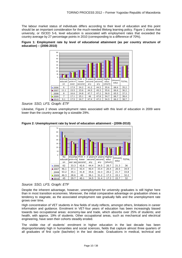The labour market status of individuals differs according to their level of education and this point should be an important consideration for the much-needed lifelong learning policy. Figure 1 shows that university, or ISCED 5-6, level education is associated with employment rates that exceeded the country average by 27 percentage points in 2010 (corresponding to a difference of 70%).





Source: SSO, LFS. Graph: ETF

Likewise, Figure 2 shows unemployment rates associated with this level of education in 2009 were lower than the country average by a sizeable 29%.





# Source: SSO, LFS. Graph: ETF

Despite the inherent advantage, however, unemployment for university graduates is still higher here than in most transition economies. Moreover, the initial comparative advantage on graduation shows a tendency to stagnate, as the associated employment rate gradually falls and the unemployment rate grows over time.

High concentration of VET students in few fields of study reflects, amongst others, limitations in career information and guidance. Enrolment in VET-four years of education has been increasingly biased towards two occupational areas: economy-law and trade, which absorbs over 25% of students; and health, with approx. 19% of students. Other occupational areas, such as mechanical and electrical engineering, have seen their cohorts steadily eroded.

The visible rise of students' enrolment in higher education in the last decade has been disproportionately high in humanities and social sciences, fields that capture almost three quarters of all graduates of first cycle (bachelor) in the last decade. Graduations in medical, technical and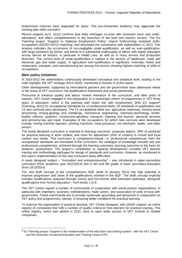biotechnical sciences have stagnated for years. This pro-humanities tendency may aggravate the existing jobs-skills mismatch.

Recent analysis (ILO, 2012) confirms that skills shortages co-exist with mismatch (over and undereducation), and affect competitiveness in the branches of the food and tourism sectors. The EU Twinning project "Support to National Employment Policy" (report forthcoming) analysed skillsoccupations (ISCED-ISCO) matching, and discussed the conclusions with stakeholders in 2013. This analysis indicates the occurrence of non-negligible under-qualification, as well as over-qualification, with large variations by sector; and points to a substantial undersupply of labour with higher education across almost all sectors, in particular in health care; as well as in many service and production branches. The current level of under-qualification is highest in the sectors of healthcare, trade and electricity gas and water supply. In agriculture over-qualification is significant. Inversely, hotels and restaurants, transport, and manufacturing are among the sectors showing highest matching of skills to occupations.

#### **Main policy initiatives**

l

In 2010-2012 the stakeholders continuously developed conceptual and analytical work, leading to the main highlight: the VET strategy (2013-2020), mentioned in Section A of this report.

Other developments, supported by international partners and the government have addressed needs in the areas of VET curriculum, the qualifications framework and social partnership.

Pressured to enhance quality and labour market relevance of the curriculum, and after years of inaction, VET Centre engaged in the preparation to a meaningful reform of programmes in VET-three years of education, which is the pathway with closer link with employment. With EU support<sup>6</sup> (Twinning, 2012) 51 occupational standards for 13 professional fields; 25 standards of qualification and 13 new curricula were developed. The 13 occupational fields are: agriculture-veterinary, forestry-wood processing, mining-geology and metallurgy, mechanical engineering, chemistry-technology, textileleather industry, graphics, construction-geodesy, transport, catering and tourism, personal services and economy-law and trade. Examples of the occupations for which new curricula were developed include: mining machine operator, printing machinist, meat processor, car-mechanic, waiter, and sales person.

The newly designed curriculum is oriented to learning outcomes, proposes approx. 30% of workload for practical learning in work context, and room for adjustment (20% of content) to school and local context and needs. This curriculum is competence-based, i.e, professional competences from the occupational standards are translated in the curriculum; the catalogue of knowledge includes key and professional competences, achieved through the learning outcomes; learning outcomes is the basis for students' assessment. The project's contribution to capacity development included VET teacher training and methodology packages for design of standards and curriculum. However, as mentioned in this report, implementation of this new curriculum faces difficulties.

A newly designed subject – "Innovation and entrepreneurship" – was introduced in upper-secondary curriculum (from academic year 2012/2013) and in 8th and 9th grade of lower secondary education (from 2013/2014).

The new draft concept of the comprehensive NQF (draft of January 2013) has high potential to improve progression and value of the qualifications inserted in the NQF. The draft concept explicitly includes qualifications acquired through formal and non-formal adult education pathways, alongside qualifications from formal education – from levels 1 to 8.

The VET Centre signed a number of memoranda of cooperation with social partner organisations, in particular with chambers, business confederations, trade unions, and association of units of local selfgovernment. These memoranda aim to provide systematic grounding and dynamism to cooperation on VET policy and programmes, namely, in ensuring better conditions for practical learning.

To improve the organisation of practical learning, VET Centre designed, with USAID support, an online registry of companies that fulfil a number of quality criteria to host learners for practical training. This online registry, which was piloted in 2012, aims to open wider access of VET schools to reliable companies.

 $6$  EU Twinning project "Support to the modernisation of the education and training system", with the VET Centre and the Slovenian Vocational Education and Training Centre (CPI).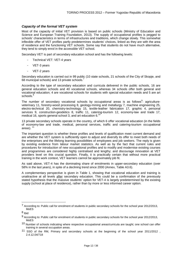# **Capacity of the formal VET system**

Most of the capacity of initial VET provision is based on public schools (Ministry of Education and Science and European Training Foundation, 2013). The supply of occupational profiles is pegged to schools' characteristics in terms of infrastructures and traditions, which change slowly. This somewhat inflexible offer of VET profiles partly predetermines students' choices, linked as they are with the area of residence and the functioning VET schools. Some say that students do not have much alternative, they tend to simply enrol in the accessible VET school.

Secondary VET is part of secondary education school and has the following levels:

- Technical VET: VET-4 years
- VET-3 years
- VET-2 years

Secondary education is carried out in 99 public (10 state schools, 21 schools of the City of Skopje, and 68 municipal schools) and 13 private schools.

According to the type of secondary education and curricula delivered in the public schools, 16 are general education schools and 40 vocational schools, whereas 34 schools offer both general and vocational education; 4 are vocational schools for students with special education needs and 5 are art schools. $^8$ 

The number of secondary vocational schools by occupational areas is as follows<sup>9</sup>: agricultureveterinary 11, forestry-wood processing 8, geology-mining and metallurgy 7, machine engineering 25, electro-technical 20, chemistry-technology 15, textile-leather fabrication 17, graphic 4, personal services 9, construction-geodetics 8, traffic 11, catering-tourism 12, economy-law and trade 17, medical 16, sports general school 3, and art education  $6<sup>1</sup>$ 

13 private secondary schools operate in the country, of which 6 offer vocational education (in the fields of economy-law and trade, medical, personal services, traffic and catering-tourism occupational areas).<sup>11</sup>

The important question is whether these profiles and levels of qualification meet current demand and are whether the VET system is sufficiently open to adjust and diversify its offer to meet both needs of the enterprises and the lifelong learning possibilities of employees and job seekers. The reply is given by existing evidence from labour market statistics. As well as by the fact that current rules and procedures for introduction of new occupational profiles and to modify and modernise existing courses and programmes are considered highly centralised and lengthy; and discourage innovation at VET providers level on this crucial question. Finally, it is practically certain that without more practical training in the work context, VET learners cannot be approximately job fit.

As said above, VET-4 has the dominating share of enrolments in upper-secondary education (over 58% in the last years), in spite of a declining trend since 2000 (Annex, Table A3.6).

A complementary perspective is given in Table 1, showing that vocational education and training is unattractive at all levels after secondary education. This could be a confirmation of the previously stated hypothesis that the massive students' option for VET-4 is largely predetermined by the existing supply (school at place of residence), rather than by more or less informed career option.

l

<sup>7</sup> According to: Public call for enrolment of students in public secondary schools for the school year 2012/2013, MoES

<sup>8</sup> Ibid

<sup>9</sup> According to: Public call for enrolment of students in public secondary schools for the school year 2012/2013, MoES

<sup>10</sup> Number of schools indicating where respective occupational areas/curricula are taught; one school can offer training in several occupation areas.

<sup>11</sup> SSO of the RM, Primary and secondary schools at the beginning of the school year 2011/2012 , 2.4.12.04/718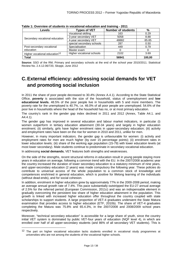| <b>Levels</b>                             | <b>Types of VET</b>       | <b>Number of students</b> | %      |
|-------------------------------------------|---------------------------|---------------------------|--------|
|                                           | Vocational skilling       | 163                       | 0.29   |
| Secondary vocational education            | 3-year secondary VET      | 5058                      | 8.88   |
|                                           | 4-year secondary VET      | 48882                     | 85.85  |
|                                           | special secondary schools | 287                       | 0.50   |
| Post-secondary vocational                 | Specialisation            | 449                       | 0.79   |
| education                                 | Master exam               |                           |        |
| Higher vocational education <sup>12</sup> | Higher vocational schools | 2102                      | 3.69   |
| <b>Total</b>                              |                           | 56941                     | 100,00 |

**Table 1: Overview of students in vocational education and training - 2011** 

**Source:** SSO of the RM, Primary and secondary schools at the end of the school year 2010/2011. Statistical Review No. 2.4.12.06/720, Skopje, June 2012

# **C. External efficiency: addressing social demands for VET and promoting social inclusion**

In 2011 the share of poor people decreased to 30.4% (Annex A.4.1). According to the State Statistical Office, **poverty** is associated with the size of the household, status of unemployment and **low educational levels.** 48.5% of the poor people live in households with 5 and more members. The poverty rate for the unemployed is 40.7%, i.e. 46.0% of all poor people are unemployed. 54.6% of the poor live in households where the head of the household has no, or at most primary education.

The country's rank in the gender gap index declined in 2011 and 2012 (Annex, Table A4.1. and  $A4.4.1$ ).

The gender gap has improved in several education and labour market indicators, in particular (i) women outperform in tertiary education attainment (30-34 years) and largely in higher education enrolment; (ii) similarly, girls have higher enrolment rates in upper-secondary education; (iii) activity and employment rates have been on the rise for women in 2010 and 2011, unlike for men.

However, in many important indicators, the gender gap is unfavourable for women: (i) activity and employment rates for men are much higher (by over 15 percentage points); (ii) enrolment rates in lower education levels; (iii) share of the working age population (15-79) with lower education levels (at most lower secondary). Male students continue to predominate in secondary vocational education.

In addressing **social demands**, VET features both strengths and weaknesses.

l

On the side of the strengths, recent structural reforms in education result in young people staying more years in education on average, following a common trend with the EU. In the 2007/2008 academic year the country increased the duration of lower secondary education to a statutory minimum of nine years, and upper-secondary education (2 years) was made compulsory the following year. These policies do contribute to universal access of the whole population to a common stock of knowledge and competences enshrined in general education, which is positive for lifelong learning of the individuals (without dead-ends), and for social cohesion.

In addition, enrolment in higher education grew by approximately 77% in the 2000-2008 period, making an average annual growth rate of 7.4%. This pace substantially outstripped the EU-27 annual average of 2.5% for the referred period (European Commission, 2011c) and was an indispensable element in gradually overcoming the persistent low share of higher education attainment in the population. This growth is linked with increased higher education offer throughout the country coupled with state scholarships to support students. A large proportion of VET-4 graduates underwent the State Matura examination that provides access to higher education (ETF, 2010b). The share of VET-4 graduates completing the Matura was 75.8% and 65.4.3%, in the 2007/2008 and 2008/2009 school years respectively.

Moreover, "technical secondary education" is accessible for a large share of youth, since the country initial VET system is dominated by public VET-four years of education (NQF level 4), in which are enrolled over half of all upper-secondary students (and 86% of all secondary VET students). This is

<sup>&</sup>lt;sup>12</sup> The part on higher vocational education lacks students enrolled in vocational study programmes at universities who are not among the students of the vocational higher schools.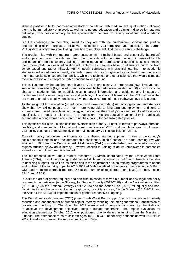likewise positive to build that meaningful stock of population with medium level qualifications, allowing them to be immediately employed, as well as to pursue education and training in diverse formats and pathways, from post-secondary flexible specialisation courses, to tertiary vocational and academic studies.

But the challenges are complex, linked as they are with the predominant societal and political understanding of the purpose of initial VET, reflected in VET structures and legislation. The current VET system is only weakly facilitating transition to employment. And this is a serious challenge.

The problem lies with the important gaps between VET-4 (school-based and essentially theoretical) and employment from one side; and, from the other side, with the current vacuum in terms of flexible and meaningful post-secondary training granting meaningful professional qualifications, and making them more job-fit, in closer articulation with enterprises. Learners have no alternative but to go from school-based and rather inflexible VET-4, poorly connected with practical learning – to academic studies in tertiary education. Finally, students' career choices in higher education lead three quarters of them into social sciences and humanities, while the technical and other sciences that would stimulate more innovation and entrepreneurship continue to lose ground.

This is illustrated by the fact that other levels of VET, in particular VET-three years (NQF level 3), postsecondary non-tertiary (NQF level 5) and vocational higher education (levels 5 and 6) absorb very low shares of students, due to insufficiencies in career information and guidance and in supply of modernised and relevant programmes and pathways. The share of learners in the VET pathways that are more oriented to employment is very low; moreover reforms of these pathways have only started.

As the weight of low education (no education and lower secondary) remains significant, and statistics show that low skilled people are much more vulnerable to long-term unemployment, and tend to exclusion from developments in technology and economy, the country's policies need to address more specifically the needs of this part of the population. This low-education vulnerability is particularly accentuated among women and ethnic minorities, calling for better-targeted policies.

This inefficient skills distribution calls for diversification of the VET offer, in terms of pathways, duration, flexibility, and combination of formal and non-formal forms of VET for all population groups. However, VET policy continues to focus mostly on formal secondary VET, especially, on VET-4.

Education policy recognises the importance of a lifelong learning approach in view of the country's socio-economic needs and the demographic challenges. In this context an adult learning law was adopted in 2008 and the Centre for Adult Education (CAE) was established, and initiated courses in regions stricken by low adult literacy. However, access to training of adults (employees in companies as well as unemployed) remains limited.

The implemented active labour market measures (ALMMs), coordinated by the Employment State Agency (ESA), do include training on demanded skills and occupations, but their outreach is low, due to declining budgets, as well as insufficiencies in the adjustment of such training programmes to needs and profiles of the target groups. In 2010-2011 ALMMs benefited of budgets corresponding to 0.1% of GDP and a limited outreach (approx. 2% of the number of registered unemployed). (Annex, Tables A2.11 and A2.12).

In 2012 the area of gender equality and non-discrimination received a number of new legal and policy documents, in particular: (i) the Strategy for Gender Equality (2013-2020) and the National Action Plan (2013-2016); (ii) the National Strategy (2012-2015) and the Action Plan (2012) for equality and nondiscrimination on the grounds of ethnic origin, age, disability and sex; (iii) the Strategy (2012-2017) and the Action Plan (2013) for implementation of gender responsive budgeting.

The Conditional cash transfers (CCT) project (with World Bank support) aims to contribute to poverty reduction and enhancement of human capital, thereby reducing the inter-generational transmission of poverty over the long run. The November 2012 assessment of progress considers high the likelihood to achieve the development objectives, despite budget constraints. The impact evaluation for education planned for October 2012 was postponed due to delays in funding from the Ministry of Finance. The attendance rates of children ages 15-18 in CCT beneficiary households was 96.42%, in 2012, therefore surpassed the required minimum (85%).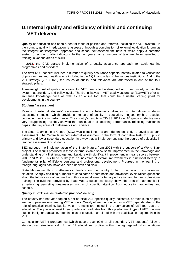# **D. Internal quality and efficiency of initial and continuing VET delivery**

**Quality** of education has been a central focus of policies and reforms, including the VET system. In the country, quality in education is assessed through a combination of external evaluation known as the 'integral' or 'integrated' approach and school self-assessment, both of which apply a common system of school quality indicators. In the last years, large numbers of teachers have benefited of training in various areas of skills.

In 2012, the CAE started implementation of a quality assurance approach for adult learning programmes and providers.

The draft NQF concept includes a number of quality assurance aspects, notably related to verification of programmes and qualifications included in the NQF, and roles of the various institutions. And in the VET strategy (2013-2020) the issues of quality and relevance are addressed in one of the four strategic pillars.

A meaningful set of quality indicators for VET needs to be designed and used widely across the system, at providers, and policy levels. The EU initiatives in VET quality assurance (EQAVET) offer an immense knowledge base as well as an online tool that could be a useful starting point for developments in the country.

#### **Students' assessment**

Results of external students' assessment show substantial challenges. In international students' assessment studies, which provide a measure of quality in education, the country has revealed continuing decline in performance. The country's results in TIMSS 2011 (for 8<sup>th</sup> grade students) were very disappointing, as they showed the continuation of declining performance, reflecting substantial gaps in the key areas of mathematics and science.

The State Examinations Centre (SEC) was established as an independent body to develop student assessment. The Centre launched external assessment in the form of normative tests for pupils in primary and lower secondary education in a way that will help demonstrate the degree of objectivity in teacher assessment of students.

SEC pursued the implementation of the State Matura from 2008 with the support of a World Bank project. The results produced in these external exams show some improvement in the knowledge and understanding of a first language and literature with significant improvement in means scores between 2008 and 2011. This trend is likely to be indicative of overall improvements in functional literacy; a fundamental pillar of lifelong personal and professional development. Progress in the learning of foreign languages has, however, been uneven and slow.

State Matura results in mathematics clearly show the country to be in the grips of a challenging situation. Sharply declining numbers of candidates at both basic and advanced levels raises questions about the future stock of knowledge in this essential area for tertiary education and further professional training. The evidence provided by State Matura outcomes clearly shows the area of mathematics is experiencing persisting weaknesses worthy of specific attention from education authorities and schools.

#### **Quality in VET: issues related to practical learning**

The country has not yet adopted a set of initial VET-specific quality indicators, or tools such as peer learning / peer reviews among VET schools. Quality of learning outcomes in VET depends also on the role of practical training, but its weight remains too limited in the curriculum of VET-four years of education. Every year at least three quarters of graduates from this predominant type of VET continue studies in higher education, often in fields of education unrelated with the qualification acquired in initial VET.

Curricula for VET-4 programmes (which absorb over 90% of all secondary VET students) follow a standardised structure, valid for all 42 educational profiles within the aggregated 14 occupational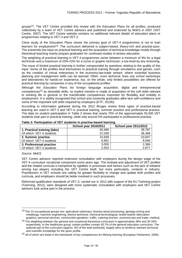groups13. The VET Centre provided this review with the Education Plans for all profiles, produced collectively by a team of VET Centre advisors and published and endorsed by MoES in 2007 (VET Centre, 2007). The VET Centre website contains no additional relevant details of education plans or programmes relating to VET-3 and VET-2.

Close study of the Education Plans shows the primary goal of VET-4 programmes is not to train learners for employment14. The curriculum delivered is subject-based, theory-rich and practise-poor. The extremely low input on practical learning and the acquisition of technical knowledge mostly through theoretical teaching mainly prepare graduates for continued studies in tertiary education.

The weighting of practical learning in VET-4 programmes varies between a minimum of 9% for a legal technician and a maximum of 20%-22% for a nurse or graphic technician; a low level by any reckoning.

The issue of limited practical learning is further compounded by questions relating to the quality of this input. Some of the profiles lend themselves to practical training through simulations and games, such as the creation of virtual enterprises in the economy-law-trade stream, where essential business planning and management skills can be learned. Other, more technical, lines use school workshops and laboratories for hands-on experience, but, on the whole, only limited possibilities are offered for practical learning by companies in any of the occupational profiles.

Although the Education Plans list foreign language acquisition, digital and entrepreneurial competences15 as desirable skills, no explicit mention is made of acquisition of the soft skills relevant to working life in general or the transferable competences important for flexibility and mobility in employment. It is widely recognised that school and university graduates alike lack self-confidence and some of the important soft skills required by employers (ETF, 2010b).

According to information gathered during the 2012 Bruges review three types of practise-based learning are used in VET-3 and VET-4: practical training, summer practice and professional practice. The data on student participation in Table 2 shows that nearly 70% of the approximately 55,000 VET students took part in practical training, while only around 5% participated in professional practise.

|                              | School year 2010/2011 | <b>School year 2011/2012</b> |
|------------------------------|-----------------------|------------------------------|
| 1. Practical training (labs) | 40,466                | 39.787                       |
| Of which: VET-4 students     | 37,039                | 36,369                       |
| 2. Summer practise           | 10,839                | 10,847                       |
| Of which: VET-4 students     | 8.891                 | 9,066                        |
| 3. Professional practise     | 3,005                 | 2,366                        |
| Of which: VET-4 students     | 2,503                 | 2,877                        |

#### **Table 2: Participation of VET students in practise-based learning**

#### Source: MoES

l

VET Centre advisors reported extensive consultation with employers during the design stage of the VET-4 curriculum vocational component some years ago. The renewal and adjustment of VET profiles and the related curricula is hampered by rigidities in processes and factors such as the lack of initiative among key players including the VET Centre itself, but more particularly, contacts in industry. Practitioners in VET schools are calling for greater flexibility to change and update both profiles and curricula, and employers should be better involved in such processes.

Reformed qualification standards of VET-3, carried our in 2012 with support of the EU Twinning project (Twinning, 2012), were designed with more systematic consultation with employers and VET Centre advisors took active part in the process.

<sup>&</sup>lt;sup>13</sup> The 14 occupational groups are: agriculture-veterinary; forestry-wood processing; geology-mining and metallurgy; machine engineering; electro-technical; chemical-technological; textile-leather fabrication; graphics; personal services; construction-geodesic; traffic; catering-tourism; economy-law and trade; medical.

<sup>14</sup> The weighting between the general and vocational theoretical curriculum is approximately 48% and 30-34% respectively. In the healthcare group, certain profiles contain 50.7% of the general education curriculum. The optional part of the curriculum (approx. 6% of the total workload), largely aims to reinforce relevant technical and scientific knowledge for the given profile.

<sup>&</sup>lt;sup>15</sup> All of which are listed in the framework of key competences for lifelong learning (European Parliament, 2006).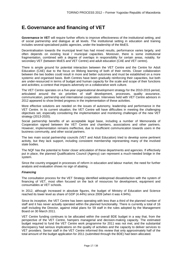# **E. Governance and financing of VET**

**Governance in VET** will require further efforts to improve effectiveness of the institutional setting, and of social partnership and dialogue at all levels. The institutional setting in education and training includes several specialised public agencies, under the leadership of the MoES.

Decentralisation towards the municipal level has had mixed results, performance varies largely, and often depends on existing local / municipal capacities. Moreover, there is some institutional fragmentation, combined with a degree of overlaps in responsibility for certain areas, notably, for secondary VET (between MoES and VET Centre) and adult education (CAE and VET centre).

There is ample ground for potential interaction between the VET Centre and the Centre for Adult Education (CAE) due to the focus on lifelong learning of both of their remits. Closer collaboration between the two bodies could result in more and better outcomes and must be established on a more systemic and organised basis. Both Centres have been gradually reinforcing their capacities, but both are under-resourced in terms of budget and human capacity for the scale and scope of their functions and activities; a context that impacts adversely on a collaborative work culture.

The VET Centre operates on a five-year organisational development strategy for the 2010-2015 period, articulated around the six priorities of staff development, processes, quality assurance, communication, partnership and international cooperation. Interviews held with VET Centre advisors in 2012 appeared to show limited progress in the implementation of these activities.

More effective solutions are needed on the issues of autonomy, leadership and performance in the VET Centre. In its current situation, the VET Centre will have difficulties in meeting the challenging objectives set, especially considering the implementation and monitoring challenges of the new VET strategy (2013-2020).

Social partnership benefits of an acceptable legal base, including a number of Memoranda of Cooperation signed between the VET Centre and chambers, associations and other partners. However, implementation remains ineffective, due to insufficient communication towards users in the business community, and other social partners.

The two main social partnership councils (VET and Adult Education) tried to develop some pertinent activity, but they lack support, including consistent membership representing many of the involved state bodies.

The NQF has the potential to foster closer articulation of these departments and agencies. If effectively put in place, the planned Qualifications Council (Agency) can represent a much-needed bridge in the system.

Since the country engaged in processes of reform in education and labour market, the need for further analysis and evaluation shows no sign of abating.

## **Financing**

The consultation process for the VET Strategy identified widespread dissatisfaction with the system of financing of VET, most often focused on the lack of resources for development, equipment and consumables at VET schools.

In 2012, although increased in absolute figures, the budget of Ministry of Education and Science reached its lower level as share of GDP (4.44%) since 2009 (when it was 4.94%).

Since its inception, the VET Centre has been operating with less than a third of the planned number of staff and it has never actually operated within the planned functionality. There is currently a total of 16 staff including the Director, against initial plans for 59 staff in the rules adopted by the Management Board on 30 March 2011.

VET Centre funding continues to be allocated within the overall BDE budget in a way that, from the perspective of the VET Centre, hampers managerial and decision-making capacity. The estimated budget required to fund the VET Centre work programme for 2011 was not met, and the substantial discrepancy had serious implications on the quality of activities and the capacity to deliver services to VET providers. Senior staff in the VET Centre informed this review that only approximately half of the total amount of the budget application for 2011 (submitted through the BDE) had been allocated.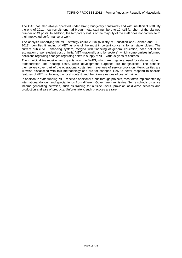The CAE has also always operated under strong budgetary constraints and with insufficient staff. By the end of 2011, new recruitment had brought total staff numbers to 12, still far short of the planned number of 43 posts. In addition, the temporary status of the majority of the staff does not contribute to their motivated performance at work.

The analysis underlying the VET strategy (2013-2020) (Ministry of Education and Science and ETF, 2013) identifies financing of VET as one of the most important concerns for all stakeholders. The current public VET financing system, merged with financing of general education, does not allow estimation of per student cost of initial VET (nationally and by sectors), which compromises informed decisions regarding changes regarding shifts in supply of VET various types of courses.

The municipalities receive block grants from the MoES, which are in general used for salaries, student transportation and heating costs, while development purposes are marginalised. The schools themselves cover part of the operational costs, from revenues of service provision. Municipalities are likewise dissatisfied with this methodology and are for changes likely to better respond to specific features of VET institutions, the local context, and the diverse ranges of cost of training.

In addition to state funding, VET receives additional funds through projects, most often implemented by international donors, and special funds from different Government ministries. Some schools organise income-generating activities, such as training for outside users, provision of diverse services and production and sale of products. Unfortunately, such practices are rare.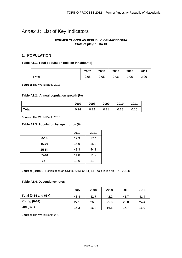# Annex 1: List of Key Indicators

# **FORMER YUGOSLAV REPUBLIC OF MACEDONIA State of play: 15.04.13**

# **1. POPULATION**

# **Table A1.1. Total population (million inhabitants)**

|              | 2007 | 2008 | 2009 | 2010 | 2011 |
|--------------|------|------|------|------|------|
| <b>Total</b> | 2.05 | 2.05 | 2.06 | 2.06 | 2.06 |

**Source:** The World Bank, 2013

## **Table A1.2. Annual population growth (%)**

|       | 2007 | 2008 | 2009 | 2010 | 2011 |
|-------|------|------|------|------|------|
| Total | 0.24 | 0.22 | 0.21 | 0.18 | 0.16 |

**Source:** The World Bank, 2013

# **Table A1.3. Population by age groups (%)**

|           | 2010 | 2011 |
|-----------|------|------|
| $0 - 14$  | 17.3 | 17.4 |
| $15 - 24$ | 14.9 | 15.0 |
| 25-54     | 43.3 | 44.1 |
| 55-64     | 11.0 | 11.7 |
| $65+$     | 13.6 | 11.8 |

**Source:** (2010) ETF calculation on UNPD, 2013; (2011) ETF calculation on SSO, 2012b.

## **Table A1.4. Dependency rates**

|                      | 2007 | 2008 | 2009 | 2010 | 2011 |
|----------------------|------|------|------|------|------|
| Total (0-14 and 65+) | 43.4 | 42.7 | 42.2 | 41.7 | 41.4 |
| <b>Young (0-14)</b>  | 27.1 | 26.3 | 25.6 | 25.0 | 24.4 |
| Old $(65+)$          | 16.3 | 16.4 | 16.6 | 16.7 | 16.9 |

**Source:** The World Bank, 2013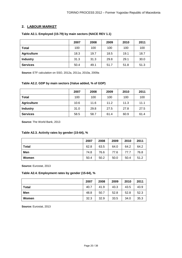# **2. LABOUR MARKET**

|                    | 2007 | 2008 | 2009 | 2010 | 2011 |
|--------------------|------|------|------|------|------|
| <b>Total</b>       | 100  | 100  | 100  | 100  | 100  |
| <b>Agriculture</b> | 18.3 | 19.7 | 18.5 | 19.1 | 18.7 |
| <b>Industry</b>    | 31.3 | 31.3 | 29.8 | 29.1 | 30.0 |
| <b>Services</b>    | 50.4 | 49.1 | 51.7 | 51.8 | 51.3 |

## **Table A2.1. Employed (15-79) by main sectors (NACE REV 1.1)**

**Source:** ETF calculation on SSO, 2012a, 2011a, 2010a, 2009a

## **Table A2.2. GDP by main sectors (Value added, % of GDP)**

|                    | 2007 | 2008 | 2009 | 2010 | 2011 |
|--------------------|------|------|------|------|------|
| <b>Total</b>       | 100  | 100  | 100  | 100  | 100  |
| <b>Agriculture</b> | 10.6 | 11.6 | 11.2 | 11.3 | 11.1 |
| <b>Industry</b>    | 31.0 | 29.8 | 27.5 | 27.8 | 27.5 |
| <b>Services</b>    | 58.5 | 58.7 | 61.4 | 60.9 | 61.4 |

**Source:** The World Bank, 2013

## **Table A2.3. Activity rates by gender (15-64), %**

|              | 2007 | 2008 | 2009 | 2010 | 2011 |
|--------------|------|------|------|------|------|
| <b>Total</b> | 62.8 | 63.5 | 64.0 | 64.2 | 64.2 |
| Men          | 74.8 | 76.6 | 77.6 | 77.7 | 76.8 |
| Women        | 50.4 | 50.2 | 50.0 | 50.4 | 51.2 |

**Source:** Eurostat, 2013

#### **Table A2.4. Employment rates by gender (15-64), %**

|              | 2007 | 2008 | 2009 | 2010 | 2011 |
|--------------|------|------|------|------|------|
| <b>Total</b> | 40.7 | 41.9 | 43.3 | 43.5 | 43.9 |
| Men          | 48.8 | 50.7 | 52.8 | 52.8 | 52.3 |
| Women        | 32.3 | 32.9 | 33.5 | 34.0 | 35.3 |

**Source:** Eurostat, 2013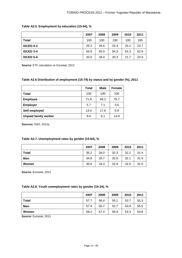|                  | 2007 | 2008 | 2009 | 2010 | 2011 |
|------------------|------|------|------|------|------|
| Total            | 100  | 100  | 100  | 100  | 100  |
| <b>ISCED 0-2</b> | 25.2 | 26.6 | 25.4 | 24.1 | 23.7 |
| <b>ISCED 3-4</b> | 54.8 | 55.0 | 54.3 | 54.3 | 52.9 |
| <b>ISCED 5-6</b> | 20.0 | 18.4 | 20.3 | 21.7 | 23.4 |

# **Table A2.5. Employment by education (15-64), %**

**Source:** ETF calculation on Eurostat, 2013

# **Table A2.6 Distribution of employment (15-79) by status and by gender (%), 2011**

|                             | Total | <b>Male</b> | <b>Female</b> |
|-----------------------------|-------|-------------|---------------|
| Total                       | 100   | 100         | 100           |
| <b>Employee</b>             | 71.8  | 69.2        | 75.7          |
| <b>Employer</b>             | 5.7   | 7.1         | 3.6           |
| Self employed               | 13.0  | 17.6        | 5.9           |
| <b>Unpaid family worker</b> | 9.6   | 6.1         | 14.9          |

**Sources:** SSO, 2012a

# **Table A2.7. Unemployment rates by gender (15-64), %**

|              | 2007 | 2008 | 2009 | 2010 | 2011 |
|--------------|------|------|------|------|------|
| <b>Total</b> | 35.2 | 34.0 | 32.3 | 32.2 | 31.4 |
| Men          | 34.8 | 33.7 | 32.0 | 32.1 | 31.9 |
| Women        | 35.8 | 34.3 | 32.9 | 32.5 | 31.0 |

**Source:** Eurostat, 2013

# **Table A2.8. Youth unemployment rates by gender (15-24), %**

|              | 2007 | 2008 | 2009 | 2010 | 2011 |
|--------------|------|------|------|------|------|
| <b>Total</b> | 57.7 | 56.4 | 55.1 | 53.7 | 55.3 |
| Men          | 57.4 | 55.7 | 52.7 | 53.9 | 55.5 |
| Women        | 58.2 | 57.4 | 59.4 | 53.3 | 54.8 |

**Source:** Eurostat, 2013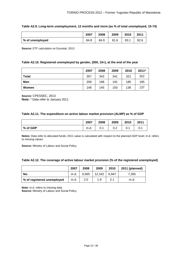|                 | 2007 | 2008 | 2009 | 2010 | 2011 |
|-----------------|------|------|------|------|------|
| % of unemployed | 84.8 | 84.9 | 81.6 | 83.1 | 82.6 |

# **Table A2.9. Long-term unemployment, 12 months and more (as % of total unemployed, 15-74)**

**Source:** ETF calculation on Eurostat, 2013

### **Table A2.10. Registered unemployed by gender, (000, 15+), at the end of the year**

|              | 2007 | 2008 | 2009 | 2010 | 2011* |
|--------------|------|------|------|------|-------|
| <b>Total</b> | 357  | 343  | 341  | 321  | 322   |
| Men          | 209  | 198  | 191  | 185  | 185   |
| Women        | 148  | 145  | 150  | 136  | 137   |

**Source:** CPESSEC, 2013 **Note:** \* Data refer to January 2011

#### **Table A2.11. The expenditure on active labour market provision (ALMP) as % of GDP**

|          | 2007 | 2008 | 2009       | 2010 | 2011 |
|----------|------|------|------------|------|------|
| % of GDP | m.d. | 0.1  | റ റ<br>∪.∠ | U.I  | 0.1  |

**Notes:** Data refer to allocated funds; 2011 value is calculated with respect to the planned GDP level; m.d. refers to missing values

**Source:** Ministry of Labour and Social Policy

| Table A2.12. The coverage of active labour market provision (% of the registered unemployed) |  |
|----------------------------------------------------------------------------------------------|--|
|                                                                                              |  |

|                            | 2007 | 2008  | 2009   | 2010  | 2011 (planned) |
|----------------------------|------|-------|--------|-------|----------------|
| No.                        | m.d. | 6.565 | 12,162 | 6.947 | 7.265          |
| % of registered unemployed | m.d. | 2.0   | 1.9    | 2.1   | m.d.           |

**Note:** m.d. refers to missing data

**Source:** Ministry of Labour and Social Policy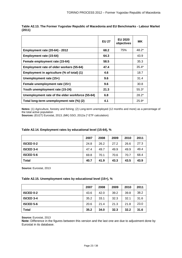|                                                  | <b>EU 27</b> | <b>EU 2020</b><br>objectives | MK.     |
|--------------------------------------------------|--------------|------------------------------|---------|
| <b>Employment rate (20-64) - 2012</b>            | 68.2         | 75%                          | 48.2*   |
| Employment rate (15-64)                          | 64.3         |                              | 43.9    |
| Female employment rate (15-64)                   | 58.5         |                              | 35.3    |
| Employment rate of older workers (55-64)         | 47.4         |                              | $35.4*$ |
| Employment in agriculture (% of total) (1)       | 4.6          |                              | 18.7    |
| Unemployment rate (15+)                          | 9.6          |                              | 31.4    |
| Female unemployment rate (15+)                   | 9.6          |                              | 30.8    |
| Youth unemployment rate (15-24)                  | 21.3         |                              | $55.3*$ |
| Unemployment rate of the elder workforce (55-64) | 6.8          |                              | $28.2*$ |
| Total long-term unemployment rate (%) (2)        | 4.1          |                              | $25.9*$ |

**Table A2.13. The Former Yugoslav Republic of Macedonia and EU Benchmarks - Labour Market (2011)** 

**Notes:** (1) Agriculture, forestry and fishing; (2) Long-term unemployed (12 months and more) as a percentage of the total active population

**Sources:** (EU27) Eurostat, 2013; (MK) SSO, 2012a (\* ETF calculation)

|  | Table A2.14. Employment rates by educational level (15-64), % |  |
|--|---------------------------------------------------------------|--|
|  |                                                               |  |

|                  | 2007 | 2008 | 2009 | 2010 | 2011 |
|------------------|------|------|------|------|------|
| <b>ISCED 0-2</b> | 24.8 | 26.2 | 27.2 | 26.6 | 27.3 |
| <b>ISCED 3-4</b> | 47.4 | 49.7 | 49.9 | 49.9 | 49.4 |
| <b>ISCED 5-6</b> | 69.8 | 70.1 | 70.6 | 70.7 | 68.4 |
| <b>Total</b>     | 40.7 | 41.9 | 43.3 | 43.5 | 43.9 |

**Source:** Eurostat, 2013

## **Table A2.15. Unemployment rates by educational level (15+), %**

|                  | 2007 | 2008 | 2009 | 2010 | 2011 |
|------------------|------|------|------|------|------|
| <b>ISCED 0-2</b> | 43.6 | 42.0 | 39.2 | 39.8 | 38.2 |
| <b>ISCED 3-4</b> | 35.2 | 33.1 | 32.3 | 32.1 | 31.6 |
| <b>ISCED 5-6</b> | 20.6 | 21.4 | 21.3 | 21.8 | 23.0 |
| <b>Total</b>     | 35.2 | 34.0 | 32.3 | 32.2 | 31.6 |

**Source:** Eurostat, 2013

**Note:** Difference in the figures between this version and the last one are due to adjustment done by Eurostat in its database.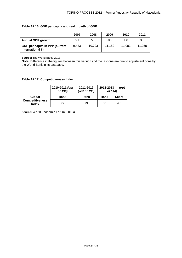|                                                     | 2007  | 2008   | 2009   | 2010   | 2011   |
|-----------------------------------------------------|-------|--------|--------|--------|--------|
| <b>Annual GDP growth</b>                            | 6.1   | 5.0    | $-0.9$ | 1.8    | 3.0    |
| GDP per capita in PPP (current<br>international \$) | 9.483 | 10.723 | 11.152 | 11.083 | 11.258 |

**Source:** The World Bank, 2013

**Note:** Difference in the figures between this version and the last one are due to adjustment done by the World Bank in its database.

# **Table A2.17: Competitiveness Index**

|                                        | 2010-2011 (out<br>of 139) | 2011-2012<br>(out of 133) | 2012-2013 | (out<br>of 144) |
|----------------------------------------|---------------------------|---------------------------|-----------|-----------------|
| Global                                 | Rank                      | Rank                      | Rank      | <b>Score</b>    |
| <b>Competitiveness</b><br><b>Index</b> | 79                        | 79                        | 80        | 4.0             |

**Source:** World Economic Forum, 2012a.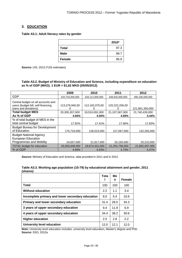# **3. EDUCATION**

**Table A3.1: Adult literacy rates by gender** 

|               | 2010* |
|---------------|-------|
| <b>Total</b>  | 97.3  |
| <b>Male</b>   | 98.7  |
| <b>Female</b> | 95.9  |

**Source:** UIS. 2013 (\*UIS estimates)

**Table A3.2. Budget of Ministry of Education and Science, including expenditure on education as % of GDP (MKD). 1 EUR = 61,62 MKD (05/05/2012)** 

|                                                                                                   | 2009            | 2010            | 2011            | 2012            |
|---------------------------------------------------------------------------------------------------|-----------------|-----------------|-----------------|-----------------|
| GDP                                                                                               | 410,734,000,000 | 434,112,000,000 | 449,632,000,000 | 490,156,000,000 |
| Central budget on all accounts and<br>users (budget bill, self-financing,<br>loans and donations) | 113,279,940,00  | 112,162,075,00  | 120,222,256,00  | 121,961,350,000 |
| <b>Total budget MES</b>                                                                           | 20,305,267,000  | 19,524,091,000  | 21,107,567,000  | 21,740,439,000  |
| As % of GDP                                                                                       | 4.94%           | 4.50%           | 4.69%           | 4.44%           |
| % of total budget of MES in the<br>total central budget                                           | 17.92%          | 17.41%          | 17.56%          | 17.83%          |
| <b>Budget Bureau for Development</b><br>of Education                                              | 175,724,000     | 128,523,000     | 127,067,000     | 132,265,000     |
| <b>Budget National Agency</b><br><b>European Education</b><br>Programmes and Mobility             | 24,657,000      | 21,817,000      | 20,165,000      | 20,210,000      |
| <b>TOTAL</b> budget for education                                                                 | 20,505,648,000  | 19,674,431,000  | 21,254,799,000  | 21,892,097,000  |
| % of GDP                                                                                          | 4,99%           | 4,53%           | 4,73%           | 4,47%           |

**Source:** Ministry of Education and Science, data provided in 2011 and in 2012.

|          | Table A3.3. Working age population (15-79) by educational attainment and gender, 2011 |  |
|----------|---------------------------------------------------------------------------------------|--|
| (shares) |                                                                                       |  |

|                                                  | Tota | Me<br>n | Female |
|--------------------------------------------------|------|---------|--------|
| Total                                            | 100  | 100     | 100    |
| <b>Without education</b>                         | 2.2  | 1.1     | 3.4    |
| Incomplete primary and lower secondary education | 8.0  | 5.4     | 10.6   |
| Primary and lower secondary education            | 31.4 | 28.5    | 34.3   |
| 3 years of upper secondary education             | 9.4  | 11.9    | 6.9    |
| 4 years of upper secondary education             | 34.4 | 38.2    | 30.6   |
| <b>Higher education</b>                          | 2.5  | 2.8     | 2.2    |
| University level education                       | 12.0 | 12.1    | 12.0   |

**Note:** University level education includes: university level education, Master's degree and PhD. **Source:** SSO, 2012a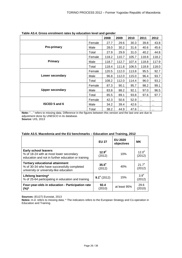|                        |        | 2008  | 2009  | 2010  | 2011     | 2012     |
|------------------------|--------|-------|-------|-------|----------|----------|
|                        | Female | 27.7  | 29.6  | 30.3  | 39.8     | 43.8     |
| <b>Pre-primary</b>     | Male   | 28.0  | 30.2  | 31.6  | 40.6     | 45.6     |
|                        | Total  | 27.9  | 29.9  | 31.0  | 40.2     | 44.8     |
|                        | Female | 118.2 | 110.7 | 105.7 | 118.8    | 118.2    |
| Primary                | Male   | 118.7 | 112.7 | 107.4 | 118.8    | 117.9    |
|                        | Total  | 118.4 | 111.8 | 106.5 | 118.8    | 118.0    |
|                        | Female | 120.5 | 112.0 | 113.8 | 95.5     | 92.7     |
| Lower secondary        | Male   | 96.8  | 112.0 | 115.0 | 96.4     | 93.7     |
|                        | Total  | 108.2 | 112.0 | 114.4 | 96.0     | 93.2     |
|                        | Female | 87.3  | 90.1  | 95.7  | 98.2     | 99.1     |
| <b>Upper secondary</b> | Male   | 83.8  | 88.2  | 92.1  | 97.0     | 96.5     |
|                        | Total  | 85.5  | 89.1  | 93.8  | 97.6     | 97.7     |
|                        | Female | 42.3  | 50.6  | 52.9  | $\cdots$ | $\cdots$ |
| <b>ISCED 5 and 6</b>   | Male   | 34.2  | 39.4  | 42.6  | $\cdots$ | $\cdots$ |
|                        | Total  | 38.2  | 44.9  | 47.6  | $\cdots$ | $\cdots$ |

| Table A3.4. Gross enrolment rates by education level and gender |  |
|-----------------------------------------------------------------|--|
|-----------------------------------------------------------------|--|

**Note:** "…" refers to missing data. Difference in the figures between this version and the last one are due to adjustment done by UNESCO in its database. **Source:** UIS, 2013

|  | Table A3.5. Macedonia and the EU benchmarks - Education and Training, 2012 |  |  |  |
|--|----------------------------------------------------------------------------|--|--|--|
|--|----------------------------------------------------------------------------|--|--|--|

|                                                                                                                                 | <b>EU 27</b>           | <b>EU 2020</b><br>objectives | МK                         |
|---------------------------------------------------------------------------------------------------------------------------------|------------------------|------------------------------|----------------------------|
| <b>Early school leavers</b><br>% of 18-24 with at most lower secondary<br>education and not in further education or training    | $12.9^\circ$<br>(2012) | 10%                          | $12.0^\circ$<br>(2012)     |
| <b>Tertiary educational attainment</b><br>% of 30-34 who have successfully completed<br>university or university-like education | $35.5^e$<br>(2012)     | 40%                          | $21.7^e$<br>(2012)         |
| Lifelong learning*<br>% of 25-64 participating in education and training                                                        | $9.1^{\circ}$ (2012)   | 15%                          | 3.9 <sup>e</sup><br>(2012) |
| Four-year-olds in education - Participation rate<br>(%)*                                                                        | 92.4<br>(2010)         | at least 95%                 | 29.6<br>(2010)             |

**Sources:** (EU27) Eurostat, 2013

**Notes:** m.d. refers to missing data; \* The indicators refers to the European Strategy and Co-operation in Education and Training.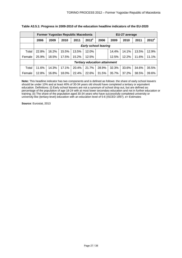|        | Former Yugoslav Republic Macedonia   |       |       |       |          | EU-27 average |       |       |       |          |
|--------|--------------------------------------|-------|-------|-------|----------|---------------|-------|-------|-------|----------|
|        | 2006                                 | 2009  | 2010  | 2011  | $2012^e$ | 2006          | 2009  | 2010  | 2011  | $2012^e$ |
|        | <b>Early school leaving</b>          |       |       |       |          |               |       |       |       |          |
| Total  | 22.8%                                | 16.2% | 15.5% | 13.5% | 12.0%    |               | 14.4% | 14.1% | 13.5% | 12.9%    |
| Female | 25.9%                                | 18.5% | 17.5% | 15.2% | 12.5%    |               | 12.5% | 12.2% | 11.6% | 11.1%    |
|        | <b>Tertiary education attainment</b> |       |       |       |          |               |       |       |       |          |
| Total  | 11.6%                                | 14.3% | 17.1% | 20.4% | 21.7%    | 28.9%         | 32.3% | 33.6% | 34.6% | 35.5%    |
| Female | 12.8%                                | 16.8% | 18.0% | 22.4% | 22.6%    | 31.5%         | 35.7% | 37.2% | 38.5% | 39.6%    |

# **Table A3.5.1: Progress in 2009-2010 of the education headline indicators of the EU-2020**

**Note:** This headline indicator has two components and is defined as follows: the share of early school leavers should be under 10% and at least 40% of 30-34 years old should have completed a tertiary or equivalent education. Definitions: (i) Early school leavers are not a synonym of school drop out, but are defined as: percentage of the population of age 18-24 with at most lower secondary education and not in further education or training; (ii) The share of the population aged 30-34 years who have successfully completed university or university-like (tertiary-level) education with an education level of 5-6 (ISCED 1997). e= Estimates

**Source**: Eurostat, 2013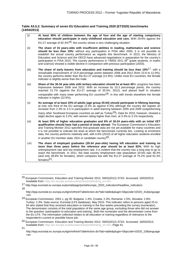## **Table A3.5.2: Summary of seven EU Education and Training 2020 (ET2020) benchmarks (14/04/2013)**

(i) **At least 95% of children between the age of four and the age of starting compulsory education should participate in early childhood education and care.** With 29.6% against the EU-27 average of 92.3%<sup>16</sup>, the country shows a very challenging situation. (ii) **The share of 15 years-olds with insufficient abilities in reading, mathematics and science should be less than 15%:** without any participation in PISA after 2000, it is not possible to establish the actual country performance as regards this benchmark. In 2013, the Ministry of Education and Science and the OECD have advanced negotiations in preparation for the country's participation in PISA 2015. The country performance in TIMSS 2011 ( $8<sup>th</sup>$  grade students, in maths and science) showed a visible decline in comparison with previous participation (2003). (iii) **The share of early leavers from education and training should be less than 10%**17: with a remarkable improvement of 10.8 percentage points between 2006 and 2012 (from 22.8 to 12.0%), the country performs better than the EU-27 average (12.9%). Unlike most EU countries, the female indicator is slightly worse than the male. (iv) **Share of the 30-34 year-olds with tertiary education should be at least 40**%: progress has been impressive between 2006 and 2012. With an increase by 10.3 percentage points, the country reached 21.7% (against the EU-27 average of 35.5%, 2012), and placed itself in situation comparable with many lower performing EU countries<sup>18</sup>. In line with trends elsewhere the female indicator is higher (22.6%). (v) **An average of at least 15% of adults (age group 25-64) should participate in lifelong learning**: at only one third of the EU average (3.3% as against 9.3%) although the country did register an increase from 2.3% to 3.3 in participation in adult learning between 2005 and 2009 (outperforming many other Southeast European countries as well as Turkey<sup>19</sup>). Data for 2010, however, showed a slight decline again to 3.2%, with women rating higher than men, at 3.4% to 3.1% respectively. (vi) **At least 20% of higher education graduates and 6% of 18-24 years-olds with an initial VET qualification should have had a period of study abroad**. The European Commission's Education and Training Monitor 2012 specifies that graduate data are not yet available for many countries and it is not possible to indicate the level at which the benchmark currently lies. Looking at enrolment data, the country performs relatively well, with 6.6% (2010) of all higher education students enrolled in another EU member state, EEA or candidate country<sup>20</sup>. (vii) **The share of employed graduates (20-34 year-olds) having left education and training no more than three years before the reference year should be at least 82%.** With its high unemployment rate and low employment rate, it is evident that the country has a long way to go to reach the benchmark. In 2011, the total country employment rate (population 20-64) was 48.4%

(and only 38.8% for females), which compares low with the EU-27 average of 75.2% (and 62.3%

l

females)21.

<sup>16</sup> European Commission, Education and Training Monitor 2012, SWD(2012) 373/2. Accessed: 18/03/2013, Available from: http://ec.europa.eu/education/news/rethinking\_en.htm

<sup>17</sup> http://epp.eurostat.ec.europa.eu/portal/page/portal/europe\_2020\_indicators/headline\_indicators 18

http://epp.eurostat.ec.europa.eu/tgm/refreshTableAction.do?tab=table&plugin=0&pcode=t2020\_41&language  $=$ en

<sup>19</sup> European Commission. 2001 c, pg 35. Bulgaria: 1.4%; Croatia: 2.3%; Romania: 1.5%; Slovakia: 2.8%; Turkey: 2.3%. Data source: Eurostat (LFS database), May 2010. This indicator refers to persons aged 25 to 64 who stated that they received education or training in the four weeks preceding the survey (numerator). The denominator consists of the total population of the same age group, excluding those who did not answer to the question 'participation to education and training'. Both the numerator and the denominator come from the EU LFS. The information collected relates to all education or training regardless of relevance to the respondent's current or possible future job.

<sup>20</sup> European Commission, Education and Training Monitor 2012, SWD(2012) 373/2. Accessed: 18/03/2013, Available from: http://ec.europa.eu/education/news/rethinking\_en.htm. Page 41.

<sup>21</sup>

http://epp.eurostat.ec.europa.eu/tgm/refreshTableAction.do?tab=table&plugin=0&pcode=t2020\_10&language  $=$ en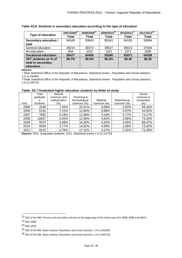|                             | 2007/2008 <sup>22</sup> | 2008/2009 <sup>23</sup> | $\overline{2009/2010^{24}}$ | $2010/2011^{25}$ | 2011/2012 <sup>26</sup> |
|-----------------------------|-------------------------|-------------------------|-----------------------------|------------------|-------------------------|
| <b>Type of education</b>    | Total                   | Total                   | Total                       | Total            | Total                   |
| Secondary education /       | 94545                   | 93843                   | 95343                       | 94155            | 93064                   |
| total                       |                         |                         |                             |                  |                         |
| General education           | 38214                   | 38373                   | 38527                       | 38013            | 37646                   |
| Art education               | 854                     | 1015                    | 1221                        | 1071             | 1080                    |
| <b>Vocational education</b> | 55477                   | 54455                   | 55595                       | 55071            | 54338                   |
| VET students as % of        | 58.7%                   | 58.0%                   | 58.3%                       | 58.49            | 58.39                   |
| total in secondary          |                         |                         |                             |                  |                         |
| education                   |                         |                         |                             |                  |                         |

**Source:**

\* State Statistical Office of the Republic of Macedonia, Statistical review : Population and Social statistics, 2.4.11.04/683

\*\*State Statistical Office of the Republic of Macedonia, Statistical review : Population and Social statistics, 2.4.12.04/718

#### **Table: A3.7 Graduated higher education students by fields of study**

| Total    | Natural      |               |                                                                               |              | Social     |
|----------|--------------|---------------|-------------------------------------------------------------------------------|--------------|------------|
| graduate | sciences and | Technical &   |                                                                               |              | sciences & |
|          | mathematics  | technological | Medical                                                                       | Biotechnical | humanities |
| students | (%)          | sciences (%)  | sciences (%)                                                                  | sciences (%) | (%)        |
| 3338     | 7,43%        | 20,31%        | 9,68%                                                                         | 4,25%        | 58,33%     |
| 5132     | 7,21%        | 12,84%        | 6,88%                                                                         | 5,87%        | 44,02%     |
| 7835     | 5,19%        | 11,68%        | 5,18%                                                                         | 4,77%        | 73,17%     |
| 10027    | 5,92%        | 12,06%        | 5,62%                                                                         | 2,96%        | 73,43%     |
| 9570     | 5,49%        | 16,26%        | 5,83%                                                                         | 3,95%        | 68,47%     |
| 9030     | 3,77%        | 14,91%        | 4,95%                                                                         | 3,36%        | 73,02%     |
| 9223     | 4,76%        | 17,11%        | 4,47%                                                                         | 2,31%        | 71,35%     |
|          |              |               | .<br>$\sim$ $\sim$ $\sim$ $\sim$ $\sim$ $\sim$ $\sim$<br>$\sim$ $\sim$ $\sim$ |              | 2.1217     |

**Source:** SSO, Graduated students, 2011, Statistical review 2.4.12.12/729

l

<sup>22</sup> SSO of the RM, Primary and secondary schools at the beginning of the school year (for 2008, 2009 and 2010 )

<sup>23</sup> Ibid, 2009.

<sup>24</sup> Ibid, 2010

<sup>25</sup> SSO of the RM, News release: Population and social statistics, 2.4.11.04/683

<sup>26</sup> SSO of the RM, News release: Population and social statistics, 2.4.12.04/718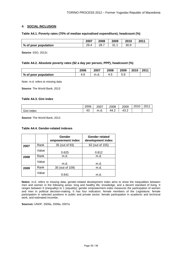#### **4. SOCIAL INCLUSION**

#### **Table A4.1. Poverty rates (70% of median equivalised expenditure), headcount (%)**

|                      | 2007 | 2008          | 2009                  | 2010 | 2011 |
|----------------------|------|---------------|-----------------------|------|------|
| % of poor population | 29.4 | າວ 7<br>، 20ء | <b>O</b> 4<br>◡ । . । | 30.9 |      |

**Source**: SSO, 2012c

#### **Table A4.2. Absolute poverty rates (\$2 a day per person, PPP), headcount (%)**

|                      | 2006     | 2007 | 2008 | 2009     | 2010 | 2011 |
|----------------------|----------|------|------|----------|------|------|
| % of poor population | 4.6<br>4 | m.d. | 4.0  | v<br>ບ.ບ |      |      |

Note: m.d. refers to missing data

**Source**: The World Bank, 2013

#### **Table A4.3. Gini index**

|                                  | 2006         | 2007 | 2008 | 2009                             | 2010 | 2011<br>ZU. |
|----------------------------------|--------------|------|------|----------------------------------|------|-------------|
| <b>.</b><br>. .<br>index<br>Gini | $\sim$<br>4ఎ | m.d. | ے.44 | $\sqrt{2}$<br>$\sqrt{2}$<br>40.∠ |      |             |

**Source:** The World Bank, 2013

#### **Table A4.4. Gender-related indexes**

|              |       | Gender<br>empowerment index | <b>Gender related</b><br>development index |  |
|--------------|-------|-----------------------------|--------------------------------------------|--|
| 2007         | Rank  | 35 (out of 93)              | 62 (out of 155)                            |  |
|              | Value | 0.625                       | 0.812                                      |  |
| 2008         | Rank  | m.d.                        | m.d.                                       |  |
|              | Value | m.d.                        | m.d.                                       |  |
| Rank<br>2009 |       | 35 (out of 109)             | m.d.                                       |  |
|              | Value | 0.641                       | m.d.                                       |  |

**Notes:** m.d. refers to missing data; gender-related development index aims to show the inequalities between men and women in the following areas: long and healthy life, knowledge, and a decent standard of living. It ranges between 0 (inequality) to 1 (equality); gender empowerment index measures the participation of women and men in political decision-making. It has four indicators: female members of the Legislature, female participation in selected positions in public and private sector, female participation in academic and technical work, and estimated incombe.

**Sources:** UNDP, 2009a, 2008a, 2007a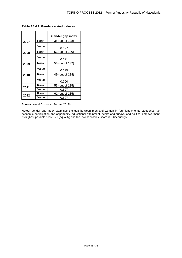|      |       | Gender gap index |
|------|-------|------------------|
| 2007 | Rank  | 35 (out of 128)  |
|      | Value | 0.697            |
| 2008 | Rank  | 53 (out of 130)  |
|      | Value | 0.691            |
| 2009 | Rank  | 53 (out of 132)  |
|      | Value | 0.695            |
| 2010 | Rank  | 49 (out of 134)  |
|      | Value | 0.700            |
| 2011 | Rank  | 53 (out of 135)  |
|      | Value | 0.697            |
| 2012 | Rank  | 61 (out of 135)  |
|      | Value | 0.697            |

# **Table A4.4.1. Gender-related indexes**

**Source**: World Economic Forum, 2012b

**Notes:** gender gap index examines the gap between men and women in four fundamental categories, i.e. economic participation and opportunity, educational attainment, health and survival and political empowerment. Its highest possible score is 1 (equality) and the lowest possible score is 0 (inequality).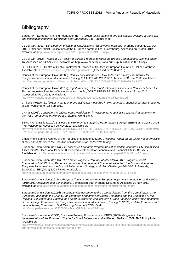# **Bibliography**

Bartlett, W., European Training Foundation (ETF), (2012), Skills matching and anticipation systems in transition and developing countries: Conditions and Challenges, ETF (unpublished).

CEDEFOP, (2011), Development of National Qualifications Frameworks in Europe, Working paper No 12, Oct 2011, Office for Official Publications of the European communities, Luxembourg. Accessed on 21 Jan 2012, available at: http://www.cedefop.europa.eu/EN/publications/19313.aspx

CEDEFOP (2012), Trends in VET policy in Europe Progress towards the Bruges Communique, Working paper 16. Accessed on 04 Apr 2013, available at: http://www.cedefop.europa.eu/EN/publications/20814.aspx

CPESSEC, 2013: Centre of Public Employment Services of Southeast European Countries. Online Database. Available at: http://www.cpessec.org/statistics.php#table1 (Accessed on 26/03/2013).

Council of the European Union (2009), Council conclusions of 12 May 2009 on a strategic framework for European cooperation in education and training (ET 2020) 2009/C 119/02. Accessed 31 Jan 2012, available at: http://eur-lex.europa.eu/LexUriServ/LexUriServ.do?uri=CELEX:52009XG0528%2801%29:EN:NOT

Council of the European Union (2012), Eighth meeting of the Stabilisation and Association Council between the Former Yugoslav Republic of Macedonia and the EU, JOINT PRESS RELEASE, Brussels 23 Jan 2012. Accessed 20 Feb 2012, available at:

http://www.consilium.europa.eu/uedocs/cms\_data/docs/pressdata/EN/foraff/127481.pdf

Crnković-Pozaić, S., (2011), How to improve activation measures in IPA countries, unpublished draft presented at ETF workshop on 16 Feb 2011.

CRPM, (2008), Constraints to Labour Force Participation in Macedonia: A qualitative approach among women from less represented ethnic groups, Skopje: World Bank.

EBRD-World Bank, (2010), Business Environment & Enterprise Performance Surveys. BEEPS at-a-glance 2008 FYR Macedonia. Accessed 06 Nov 2011, available at:

http://web.worldbank.org/WBSITE/EXTERNAL/COUNTRIES/ECAEXT/EXTECAREGTOPANTCOR/0,,contentMD K:20720934~pagePK:34004173~piPK:34003707~theSitePK:704666,00.html

Employment Service Agency of the Republic of Macedonia, (2009), National Report on the Skills Needs Analysis of the Labour Market in the Republic of Macedonia for 2009/2010, Skopje

European Commission, (2011a), Pre-Accession Economic Programmes of candidate countries: EU Commission Assessments, Occasional Papers 80, Directorate-General for Economic and Financial Affairs: Brussels. Available at: http://ec.europa.eu/economy\_finance/publications/occasional\_paper/2011/pdf/ocp80\_en.pdf

European Commission, (2011b), The Former Yugoslav Republic of Macedonia 2011 Progress Report, Commission Staff Working Paper accompanying the document Communication from the Commission to the European Parliament and the Council Enlargement Strategy and Main Challenges 2011-2012. Brussels, 12.10.2011 SEC(2011) 1203 FINAL. Available at:

http://ec.europa.eu/enlargement/pdf/key\_documents/2011/package/mk\_rapport\_2011\_en.pdf

European Commission, (2011c), Progress Towards the common European objectives in education and training (2010/2011) Indicators and Benchmarks, Commission Staff Working Document. Accessed 02 Nov 2011, available at: http://ec.europa.eu/education/lifelong-learning-policy/doc/report10/report\_en.pdf

European Commission, (2011d), Accompanying document to the Communication from the Commission to the European Parliament, the Council, the European Economic and Social Committee and the Committee of the Regions - Education and Training for a smart, sustainable and inclusive Europe - analysis of the implementation of the Strategic Framework for European cooperation in education and training (ET2020) and the European and national levels, Commission Staff Working Document COM. Draft.

http://www.parlement.com/9353000/1f/j9vvhy5i95k8zxl/vivi63r8tvsp

European Commission, OECD, European Training Foundation and EBRD (2009), Progress in the Implementation of the European Charter for Small Enterprises in the Western Balkans, 2009 SME Policy Index. Available at:

http://www.oecd.org/daf/privatesectordevelopment/westernbalkansprogressintheimplementationoftheeuropeanch arterforsmallenterprises2009smepolicyindex.htm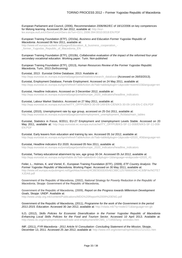European Parliament and Council, (2006), Recommendation 2006/962/EC of 18/12/2006 on key competences for lifelong learning. Accessed 29 Jan 2012, available at: http://eurlex.europa.eu/LexUriServ/LexUriServ.do?uri=OJ:L:2006:394:0010:0018:EN:PDF

#### European Training Foundation (ETF), (2010a), Business and Education Former Yugoslav Republic of Macedonia. Accessed 06 Nov 2011, available at:

http://www.etf.europa.eu/web.nsf/pages/Education\_&\_business\_cooperation\_- \_former\_Yugoslav\_Republic\_of\_Macedonia\_EN

#### European Training Foundation (ETF), (2010b), Collaborative evaluation of the impact of the reformed four-year secondary vocational education. Working paper. Turin. Non-published

#### European Training Foundation (ETF), (2013), Human Resources Review of the Former Yugoslav Republic Macedonia, Turin, 2013 (forthcoming)

Eurostat, 2013 : Eurostat Online Database, 2013. Available at : http://epp.eurostat.ec.europa.eu/portal/page/portal/statistics/search\_database (Accessed on 26/03/2013).

Eurostat, Employment Database, Female Employment. Accessed on 24 May 2011, available at: http://epp.eurostat.ec.europa.eu/tgm/refreshTableAction.do?tab=table&plugin=1&pcode=tsiem010&language=en

Eurostat, Headline Indicators. Accessed on 3 December 2012, available ar: http://epp.eurostat.ec.europa.eu/portal/page/portal/europe\_2020\_indicators/headline\_indicators

Eurostat, Labour Market Statistics. Accessed on 27 May 2011, available at: http://epp.eurostat.ec.europa.eu/cache/ITY\_OFFPUB/KS-30-09-149-EN-C/EN/KS-30-09-149-EN-C-EN.PDF

Eurostat, (2010), Unemployment rate by age group, accessed on 25 Oct 2011, available at: http://epp.eurostat.ec.europa.eu/portal/page/portal/employment\_unemployment\_lfs/data/main\_tables

Eurostat, Statistics in Focus, 8/2011, EU-27 Employment and Unemployment Levels Stable. Accessed on 20 May 2011, available at: http://epp.eurostat.ec.europa.eu/cache/ITY\_OFFPUB/KS-SF-11-008/EN/KS-SF-11-008-EN.PDF

Eurostat. Early leavers from education and training by sex. Accessed 05 Jul 2012, available at: http://epp.eurostat.ec.europa.eu/tgm/refreshTableAction.do?tab=table&plugin=1&pcode=t2020\_40&language=en

Eurostat, Headline indicators EU 2020. Accessed 05 Nov 2011, available at: http://epp.eurostat.ec.europa.eu/portal/page/portal/europe\_2020\_indicators/headline\_indicators

Eurostat, Tertiary educational attainment by sex, age group 30-34. Accessed 05 Jul 2012, available at: http://epp.eurostat.ec.europa.eu/tgm/table.do?tab=table&init=1&plugin=1&language=en&pcode=t2020\_41

Feiler, L., Holmes, K. and Viertel, E., European Training Foundation (ETF), (2009), ETF Country Analysis: The Former Yugoslav Republic of Macedonia, Working Paper. Accessed on 30 May 2011, available at: http://www.etf.europa.eu/pubmgmt.nsf/(getAttachment)/4CBE5E83D05AEC8BC12576660034C4C8/\$File/NOTE7 XJDA8.pdf

Government of the Republic of Macedonia, (2002), National Strategy for Poverty Reduction in the Republic of Macedonia, Skopje: Government of the Republic of Macedonia,

Government of the Republic of Macedonia, (2009), Report on the Progress towards Millennium Development Goals, Skopje: UNDP. Available at:

http://www.undp.org.mk/content/Publications/MDG%20Report%2009%20ENG.pdf

Government of the Republic of Macedonia, (2011), Programme for the work of the Government in the period 2011-2015. Education. Accessed 30 Jan 2012, available at: http://vlada.mk/?q=node/271&language=en-gb

ILO, (2012), Skills Policies for Economic Diversification in the Former Yugoslav Republic of Macedonia Enhancing Local Skills Policies for the Food and Tourism Sector. Accessed 10 April 2013. Available at: http://www.ilo.org/employment/areas/trade-and-employment/WCMS\_171956/lang--en/index.htm

IMF, (2011), FYR Macedonia - 2011 Article IV Consultation- Concluding Statement of the Mission, Skopje, December 13, 2011. Accessed 25 Jan 2012, available at: http://www.imf.org/external/np/ms/2011/121311.htm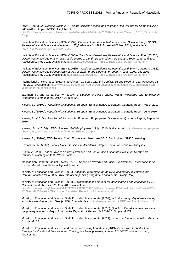InSoC, (2010), MK Decade Watch 2010: Roma Activists assess the Progress of the Decade for Roma Inclusion 2005-2015, Skopje: INSOC. Available at:

http://www.romadecade.org/files/downloads/Decade%20Watch%202010/Decade%20Watch\_2010\_Macedonia\_ EN.pdf

Institute of Education Sciences (IES), (1999), Trends in International Mathematics and Science Study (TIMSS), Mathematics and Science Achievement of Eight-Graders in 1999. Accessed 02 Nov 2011, available at: http://nces.ed.gov/timss/results99\_1.asp

Institute of Education Sciences (IES), (2003a), Trends in International Mathematics and Science Study (TIMSS). Differences in average mathematics scale scores of eighth-grade students, by country: 1995, 1999, and 2003. Accessed 02 Nov 2011, available at: http://nces.ed.gov/timss/TIMSS03Tables.asp?Quest=4&Figure=7

Institute of Education Sciences (IES), (2003b), Trends in International Mathematics and Science Study (TIMSS). Differences in average science scale scores of eighth-grade students, by country: 1995, 1999, and 2003. Accessed 02 Nov 2011, available at: http://nces.ed.gov/timss/TIMSS03Tables.asp?Quest=4&Figure=8

International Crisis Group, (2011), Macedonia: Ten Years after the Conflict, Europe Report N 212. Accessed 25 Feb 2012, available at: http://www.crisisgroup.org/en/regions/europe/balkans/macedonia/212-macedonia-tenyears-after-the-conflict.aspx

Jackman, R. and Corbanese, V., (2007) Evaluation of Active Labour Market Measures and Employment Programme in Macedonia, UNDP, August 2007.

Kjosev, S., (2010a), Republic of Macedonia, European Employment Observatory, Quarterly Report, March 2010.

Kjosev, S., (2010b), Republic of Macedonia, European Employment Observatory, Quarterly Report, June 2010.

Kjosev, S., (2010c), Republic of Macedonia, European Employment Observatory, Quarterly Report, September 2010

Kjosev, S., (2010d), EEO Review: Self-Employment, July 2010.Available at: http://www.eu-employmentobservatory.net/resources/reviews/FYROM-SERvw2010.pdf

Kjosev, S., (2010e), EEO Review: Youth Employment Measures 2010. Birmingham: GHK Consulting

Kostadinov, A., (2009), Labour Market Policies in Macedonia, Skopje: Centre for Economic Analyses.

Kuddo, A., (2009), Labor Laws in Eastern European and Central Asian Countries: Minimum Norms and Practices, Washington D.C.: World Bank.

Macedonian Platform Against Poverty, (2011), Report on Poverty and Social Exclusion in R. Macedonia for 2010, Skopje: Macedonian Platform Against Poverty.

Ministry of Education and Science, (2005), National Programme for the Development of Education in the Republic of Macedonia 2005-2015 with accompanying programme documents. Skopje: MoES

Ministry of Education and Science, (2008), Development and state of the adult learning and education (ALE) – National report. Accessed 28 Nov 2011, available at:

http://www.unesco.org/fileadmin/MULTIMEDIA/INSTITUTES/UIL/confintea/pdf/National\_Reports/Europe%20- %20North%20America/The\_former\_Yugoslav\_Republic\_of\_Macedonia.pdf

Ministry of Education and Science, State Education Inspectorate, (2009), Indicators for quality of work among schools - working version, Skopje: USAID. Available at: http://www.mon.gov.mk/DPI/download/Indikatori\_mk.pdf

Ministry of Education and Science, State Education Inspectorate, (2010), Quality of the educational process in the primary and secondary schools in the Republic of Macedonia 2009/10. Skopje: MoES.

Ministry of Education and Science, State Education Inspectorate, (2011), School performance quality indicators, Skopje: MoES.

Ministry of Education and Science and European Training Foundation (2013), Better skills for better future Strategy for Vocational Education and Training in a lifelong learning context 2013-2020 with action plan, forthcoming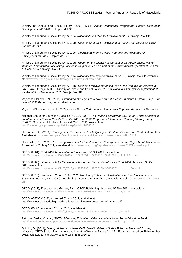Ministry of Labour and Social Policy, (2007), Multi Annual Operational Programme Human Resources Development 2007-2013. Skopje: MoLSP

Ministry of Labour and Social Policy, (2010a) National Action Plan for Employment 2011. Skopje: MoLSP

Ministry of Labour and Social Policy, (2010b), National Strategy for Alleviation of Poverty and Social Exclusion. Skopje: MoLSP

Ministry of Labour and Social Policy, (2010c), Operational Plan of Active Programs and Measures for Employment for 2010. Skopje: MoLSP

Ministry of Labour and Social Policy, (2010d), Report on the Impact Assessment of the Active Labour Market Measure: Formalization of existing Businesses implemented as a part of the Governmental Operational Plan for ALMM for 2008. Skopje: MoLSP

Ministry of Labour and Social Policy, (2011a) National Strategy for employment 2015, Skopje: MoLSP. Available at: http://www.mtsp.gov.mk/WBStorage/Files/nsvrabotuvanje.pdf

Ministry of Labour and Social Policy, (2011b), National Employment Action Plan of the Republic of Macedonia 2011-2013 . Skopje: MoLSP Ministry of Labour and Social Policy, (2011c), National Strategy for Employment of the Republic of Macedonia 2015. Skopje: MoLSP

Mojsoska-Blazevski, N., (2011), Supporting strategies to recover from the crises in South Eastern Europe: the case of FYR Macedonia, unpublished paper.

Mojsoska-Blazevski, N., et al, (2009) Labour Market Performance of the former Yugoslav Republic of Macedonia

National Centre for Education Statistics (NCES), (2007), The Reading Literacy of U.S. Fourth-Grade Students in an International Context Results From the 2001 and 2006 Progress in International Reading Literacy Study (PIRLS). Supplemental tables. Accessed 29 Oct 2011. Available at: http://nces.ed.gov/pubsearch/pubsinfo.asp?pubid=2008017

Nesporova, A., (2011), Employment Recovery and Job Quality in Eastern Europe and Central Asia, ILO. Available at: https://ec.europa.eu/employment\_social/anticipedia/document/show.do?id=3119

Novkovska, B., (2009), Measuring Non-Standard and Informal Employment in the Republic of Macedonia. Accessed on 24 May 2011, available at: http://www.wiego.org/reports/statistics/nov-2008/Novkovska.pdf

OECD, (2001), PISA 2000 Technical report. Accessed 30 Oct 2011, available at: http://www.oecd.org/document/7/0,3746,en\_32252351\_32236159\_33688711\_1\_1\_1\_1,00.html

OECD, (2003), Literacy skills for the World of Tomorrow: Further Results from PISA 2000. Accessed 30 Oct 2011, available at:

http://www.oecd.org/document/21/0,3746,en\_32252351\_32236159\_33688661\_1\_1\_1\_1,00.html

OECD, (2010), Investment Reform Index 2010: Monitoring Policies and Institutions for Direct Investment in South-East Europe**,** Paris: OECD Publishing. Accessed 02 Nov 2011, available at: doi: 10.1787/9789264079588 en..

OECD, (2011), Education at a Glance, Paris: OECD Publishing. Accessed 02 Nov 2011, available at: http://www.oecd.org/document/2/0,3746,en\_2649\_39263238\_48634114\_1\_1\_1\_1,00.html

OECD, AHELO (2011), Accessed 02 Nov 2011, available at: http://www.oecd.org/edu/highereducationandadultlearning/Brochure%20Ahelo.pdf

#### OECD, PIAAC, Accessed 02 Nov 2011, available at:

http://www.oecd.org/document/28/0,3746,en\_2649\_33723\_44429596\_1\_1\_1\_1,00.html

Petroska-Beska, V., et al, (2007), Advancing Education of Roma in Macedonia, Roma Education Fund http://demo.itent.hu/roma/portal/downloads/Education%20Resources/Macedonia\_report.pdf

Quintini, G., (2011), Over-qualified or under-skilled? Over-Qualified or Under-Skilled: A Review of Existing Literature, OECD Social, Employment and Migration Working Papers No. 121, Parisn Accessed on 29 November 2012, available at: http://www.oecd.org/els/48650026.pdf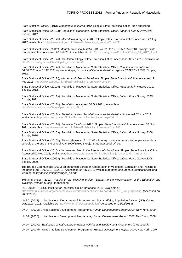State Statstical Office, (2013), Macedonia in figures 2012. Skopie: State Statistical Office. Non published

State Statistical Office, (2012a): Republic of Macedonia, State Statistical Office, Labour Force Survey 2011, Skopje, 2012.

State Statistical Office, (2012b), Macedonia in Figures 2011. Skopje: State Statistical Office. Accessed 22 Aug 2012, available at: http://www.stat.gov.mk/PrikaziPublikacija\_1\_en.aspx?rbr=333

State Statistical Office (2012c), Monthly statistical bulletin, XIX, No. 01, 2012, ISSN 1857-7504. Skopje: State Statistical Office. Accessed 20 Feb 2012, available at: http://www.stat.gov.mk/Publikacii/Bilten\_01\_2012\_A.pdf

State Statistical Office, (2012d) Population. Skopje: State Statistical Office. Accessed: 20 Feb 2012, available at: http://www.stat.gov.mk/OblastOpsto\_en.aspx?id=2

State Statistical Office, (2012e): Republic of Macedonia, State Statistical Office, Population estimates as of 30.06.2011 and 31.12.2011 by sex and age, In municipalities and statistical regions (NUTS 3 - 2007), Skopje, 2012.

State Statistical Office, (2012f), Women and Men in Macedonia. Skopje: State Statistical Office. Accessed: 21 Feb 2013: http://www.stat.gov.mk/PrikaziPublikacija\_1\_en.aspx?rbr=334

State Statistical Office, (2012g): Republic of Macedonia, State Statistical Office, Macedonia in Figures 2012, Skopje, 2012.

State Statistical Office, (2011a): Republic of Macedonia, State Statistical Office, Labour Force Survey 2010, Skopje, 2011.

State Statistical Office, (2011b), Population. Accessed 30 Oct 2011, available at: http://www.stat.gov.mk/OblastOpsto\_en.aspx?id=2

State Statistical Office, (2011c), Statistical review: Population and social statistics. Accessed 02 Nov 2011, available at: http://www.stat.gov.mk/PrikaziPoslednaPublikacija\_en.aspx?id=11

State Statistical Office, (2011d), Statistical Yearbook 2011. Skopje: State Statistical Office. Accessed 06 Nov 2011, available at: http://www.stat.gov.mk/PrikaziPublikacija\_1\_en.aspx?rbr=246

State Statistical Office, (2010a): Republic of Macedonia, State Statistical Office, Labour Force Survey 2009, Skopje, 2010.

State Statistical Office, (2010b), 'News release No 2.1.11.07 - Primary, lower secondary and upper secondary schools at the end of the school year 2009/2010', Skopje: State Statistical Office.

State Statistical Office, (2010c), Women and Men in the Republic of Macedonia, Skopje: State Statistical Office. Accessed 02 Nov 2011, available at: http://www.stat.gov.mk/PrikaziPublikacija\_en.aspx?id=23&rbr=78

State Statistical Office, (2009a): Republic of Macedonia, State Statistical Office, Labour Force Survey 2008, Skopje, 2009.

The Bruges Communiqué (2010) on enhanced European Cooperation in Vocational Education and Training for the period 2011-2020. 07/12/2010. Accessed: 30 Nov 2012, available at: http://ec.europa.eu/education/lifelonglearning-policy/doc/vocational/bruges\_en.pdf

Twinning project (2012), Results of the Twinning project "Support to the Modernisation of the Education and Training System", Skopje, forthcoming

UIS, 2013: UNESCO Institute for Statistics. Online Database, 2013. Available at: http://stats.uis.unesco.org/unesco/TableViewer/document.aspx?ReportId=143&IF\_Language=eng (Accessed on 26/02/2013).

UNPD, (2013): United Nations, Department of Economic and Social Affairs, Population Division (UN). Online Database, 2013. Available at: http://www.un.org/esa/population/ (Accessed on 26/02/2013).

UNDP, (2009): United Nations Development Programme, Human Development Report 2009, New York, 2009

UNDP, (2008): United Nations Development Programme, Human Development Report 2008, New York, 2008

UNDP, (2007a), Evaluation of Active Labour Market Policies and Employment Programme in Macedonia

UNDP, (2007b): United Nations Development Programme, Human Development Report 2007, New York, 2007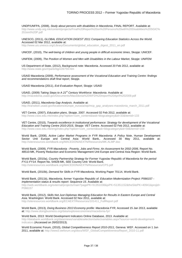UNDP/UNFPA, (2008), Study about persons with disabilities in Macedonia, FINAL REPORT. Available at: http://www.undp.org.mk/content/projects/Final%20Report%20on%20Persons%20with%20Disabilities%20SGIC% 20Joint%20P.pdf

UNESCO, (2011), GLOBAL EDUCATION DIGEST 2011 Comparing Education Statistics Across the World. Accessed 02 Mar 2012, available at:

http://www.uis.unesco.org/Library/Documents/global\_education\_digest\_2011\_en.pdf

UNICEF, (2010), The well-being of children and young people in difficult economic times, Skopje: UNICEF.

UNIFEM, (2009), The Position of Women and Men with Disabilities in the Labour Market, Skopje: UNIFEM

US Department of State, (2012), Background note: Macedonia. Accessed 20 Feb 2012, available at: http://www.state.gov/r/pa/ei/bgn/26759.htm

USAID Macedonia (2009), Performance assessment of the Vocational Education and Training Centre: findings and recommendations draft final report, Skopje.

USAID Macedonia (2011), Exit Evaluation Report, Skopje: USAID

USAID, (2009) Taking Steps to A 21<sup>st</sup> Century Workforce: Macedonia. Available at:

http://macedonia.usaid.gov/Documents/Macedonia%20WFD%20report%20April%202009.pdf

USAID, (2011), Macedonia Gap Analysis. Available at:

http://transition.usaid.gov/locations/europe\_eurasia/wp/mcp\_gap\_analyses-macedonia\_march\_2011.pdf

VET Centre, (2007), Education plans, Skopje, 2007. Accessed 02 Feb 2012, available at:

http://www.csoo.edu.mk/index.php?option=com\_content&task=blogcategory&id=33&Itemid=133

VET Centre, (2010), Towards excellence in institutional performance: Strategy for development of the Vocational Education and Training Centre 2010-2015, Skopje: VET Centre. Accessed 02 Feb 2012, available at: http://www.csoo.edu.mk/eng/index.php?option=com\_content&task=blogcategory&id=58&Itemid=168

World Bank, (2008), Active Labor Market Programs in FYR Macedonia: A Policy Note, Human Development Sector Unit Europe and Central Asia: World Bank,. Accessed 30 May 2011, available at: http://siteresources.worldbank.org/MACEDONIAEXTN/Resources/MK.ALMP.doc

World Bank, (2009), FYR Macedonia - Poverty, Jobs and Firms: An Assessment for 2002-2006, Report No. 48510-MK, Poverty Reduction and Economic Management Unit Europe and Central Asia Region: World Bank.

World Bank, (2010a), Country Partnership Strategy for Former Yugoslav Republic of Macedonia for the period FY11-FY14. Report No. 54928-MK, SEE Country Unit: World Bank. http://siteresources.worldbank.org/MACEDONIAEXTN/Resources/CPS.pdf

World Bank, (2010b), Demand for Skills in FYR Macedonia, Working Paper 70114, World Bank.

World Bank, (2011b), Macedonia, former Yugoslav Republic of. Education Modernization Project: P066157 - Implementation status & results report: Sequence 15. Available at: http://web.worldbank.org/external/projects/main?pagePK=51351038&piPK=51351152&theSitePK=40941&projid= P066157

World Bank, (2012), Skills Not Just Diplomas Managing Education for Results in Eastern Europe and Central Asia. Washington: World Bank. Accessed 02 Nov 2011, available at: http://siteresources.worldbank.org/ECAEXT/Resources/101411\_FullReport.pdf

World Bank, (2013), Doing Business 2013 Economy profile: Macedonia FYR, Accessed 15 Jan 2013, available at: http://www.doingbusiness.org/data/exploreeconomies/macedonia-fyr/

World Bank, 2013: World Development Indicators Online Database, 2013. Available at: http://databank.worldbank.org/data/views/variableselection/selectvariables.aspx?source=world-developmentindicators (Accessed on 26/02/2013).

World Economic Forum, (2010), Global Competitiveness Report 2010-2011, Geneva: WEF. Accessed on 1 Jun 2011, available at: http://www3.weforum.org/docs/WEF\_GlobalCompetitivenessReport\_2010-11.pdf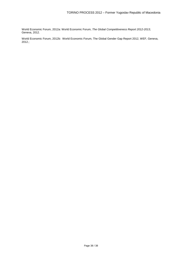World Economic Forum, 2012a: World Economic Forum, The Global Competitiveness Report 2012-2013, Geneva, 2012.

World Economic Forum, 2012b: World Economic Forum, The Global Gender Gap Report 2012, WEF, Geneva, 2012.;